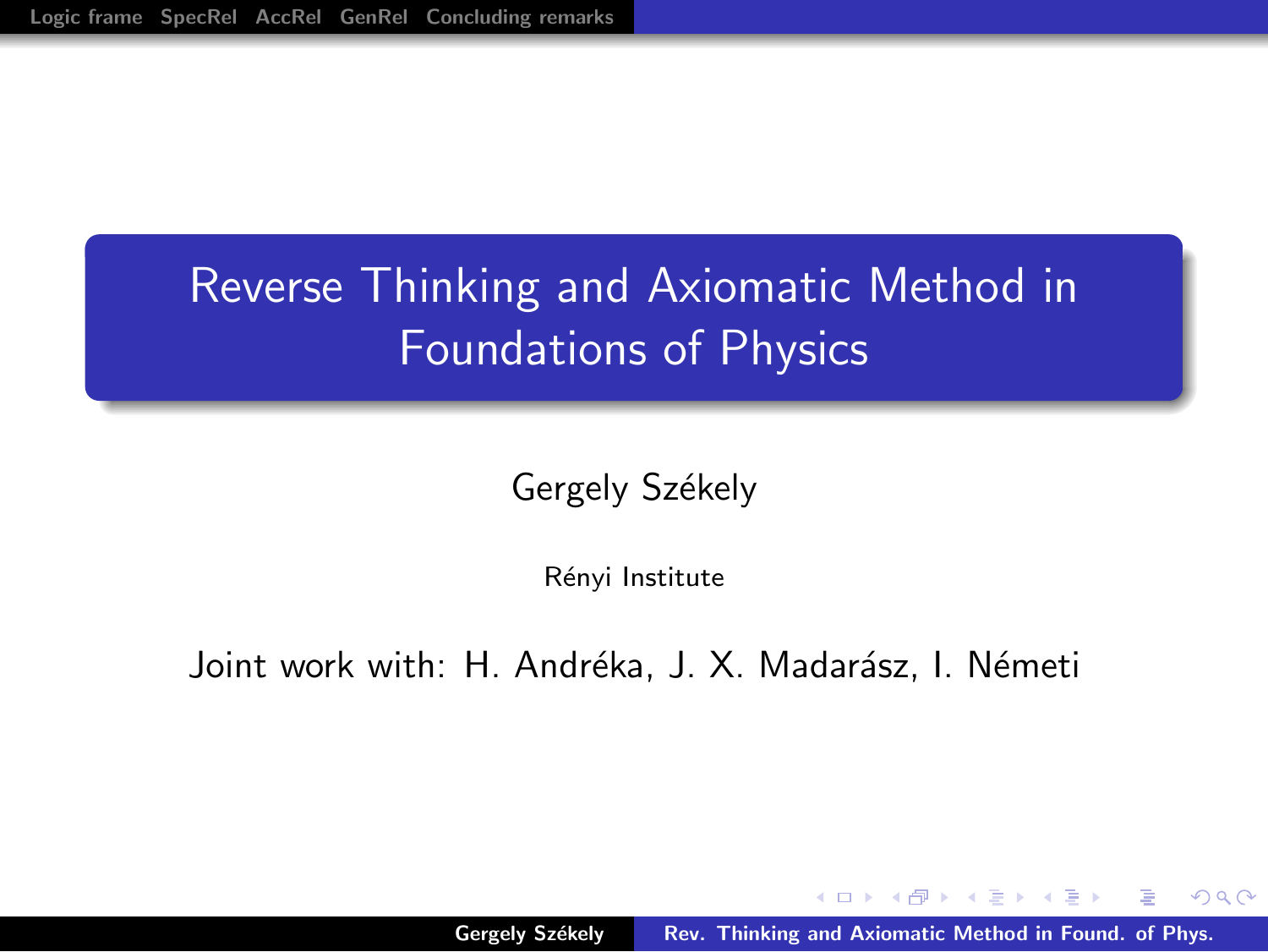# Reverse Thinking and Axiomatic Method in Foundations of Physics

Gergely Székely

Rényi Institute

Joint work with: H. Andréka, J. X. Madarász, I. Németi

<span id="page-0-0"></span>- オート オート オート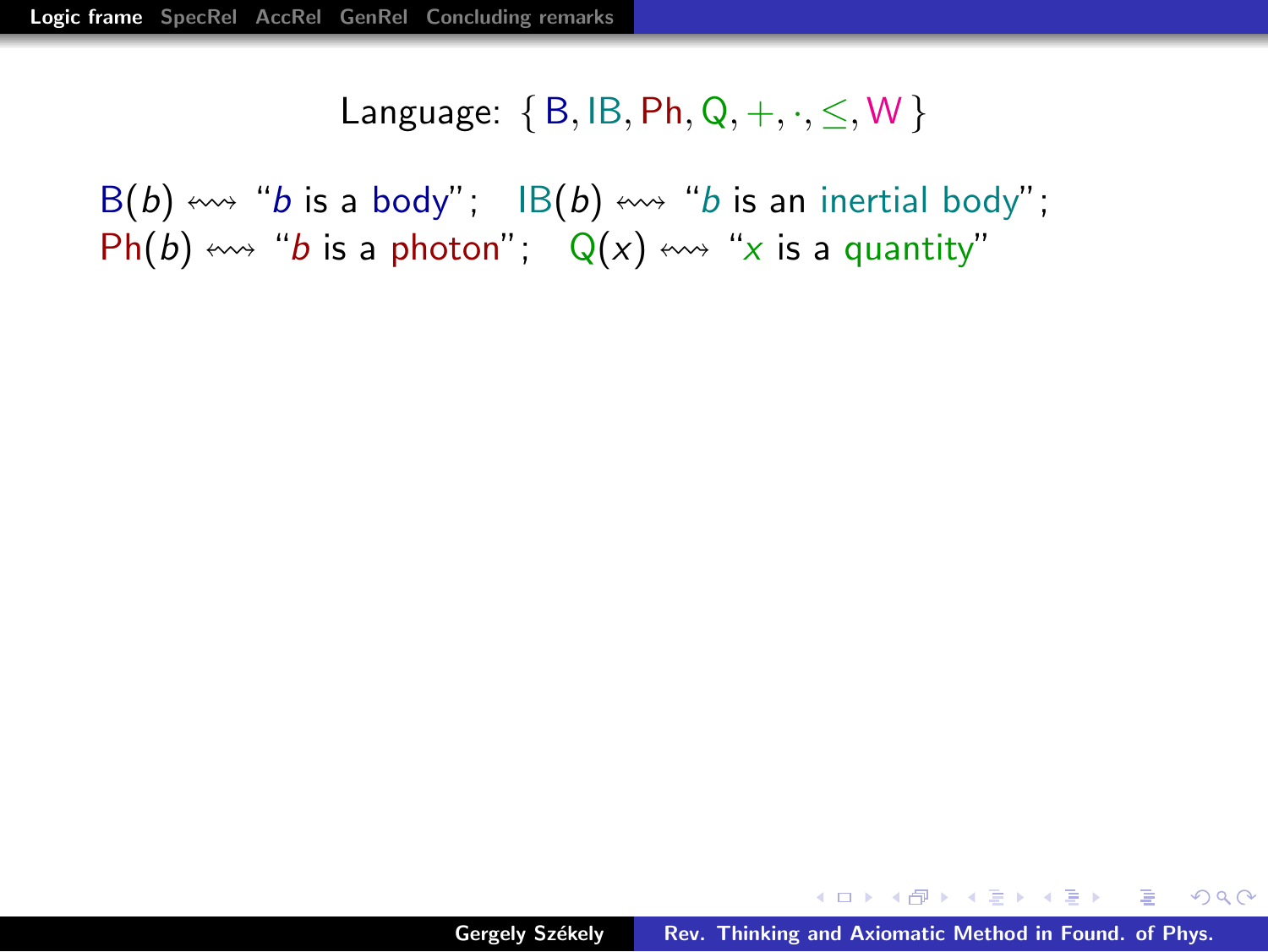$B(b) \leftrightarrow 'b$  is a body";  $IB(b) \leftrightarrow 'b$  is an inertial body"; Ph(b)  $\leftrightarrow$  "b is a photon";  $Q(x) \leftrightarrow$  "x is a quantity"

<span id="page-1-0"></span>KID KAR KERKER E 1990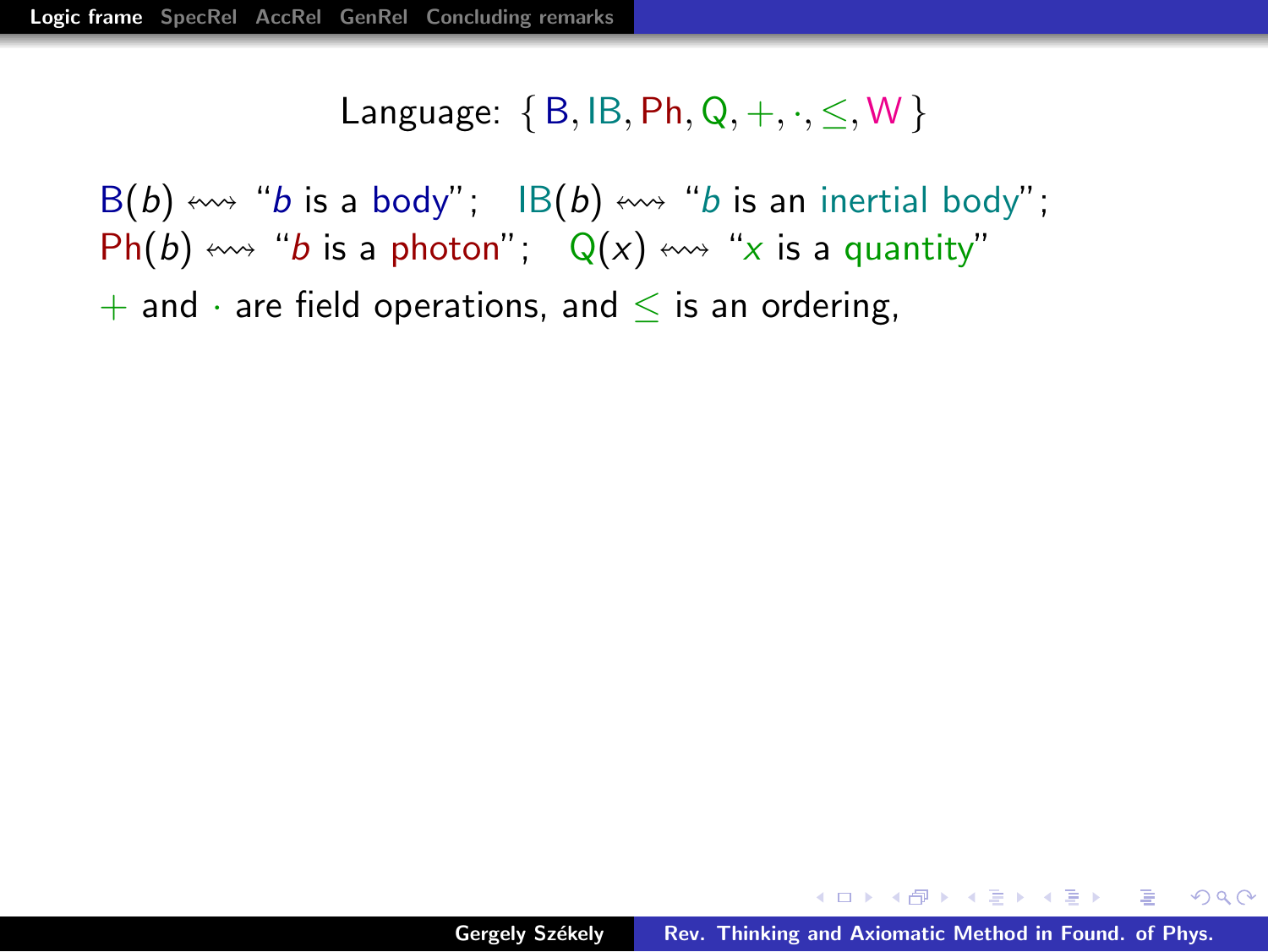$B(b) \leftrightarrow 'b$  is a body"; IB(b)  $\leftrightarrow 'b$  is an inertial body";  $Ph(b) \leftrightarrow$  "b is a photon";  $Q(x) \leftrightarrow$  "x is a quantity"  $+$  and  $\cdot$  are field operations, and  $\leq$  is an ordering,

イロト イ押 トイチト イチャー チー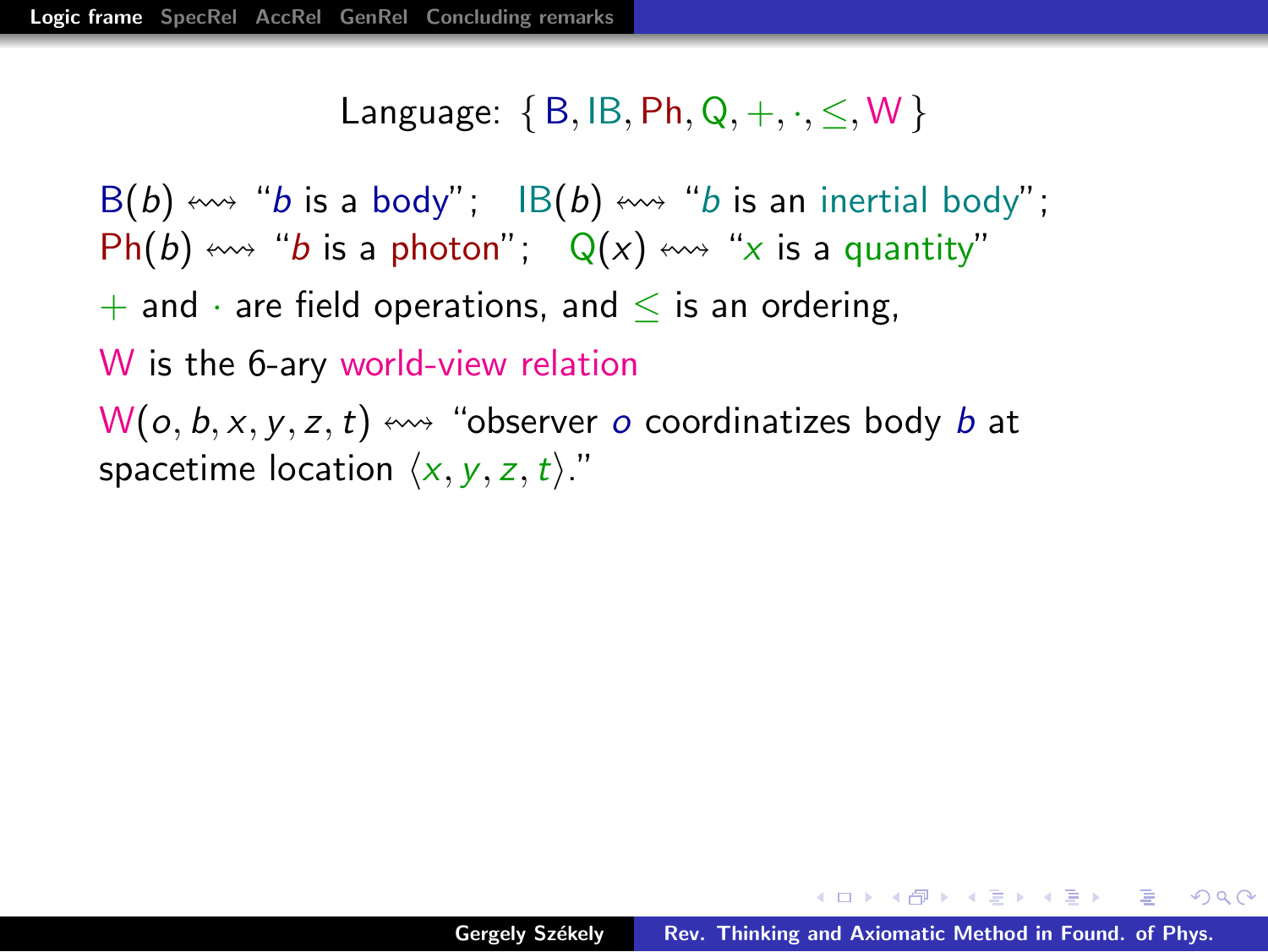$B(b) \leftrightarrow 'b$  is a body";  $IB(b) \leftrightarrow 'b$  is an inertial body";  $Ph(b) \leftrightarrow$  "b is a photon";  $Q(x) \leftrightarrow$  "x is a quantity"  $+$  and  $\cdot$  are field operations, and  $\leq$  is an ordering, W is the 6-ary world-view relation  $W(o, b, x, y, z, t) \leftrightarrow$  "observer o coordinatizes body b at spacetime location  $\langle x, y, z, t \rangle$ ."

→ 伊 → → ミ → → ミ → → ミ → つな(^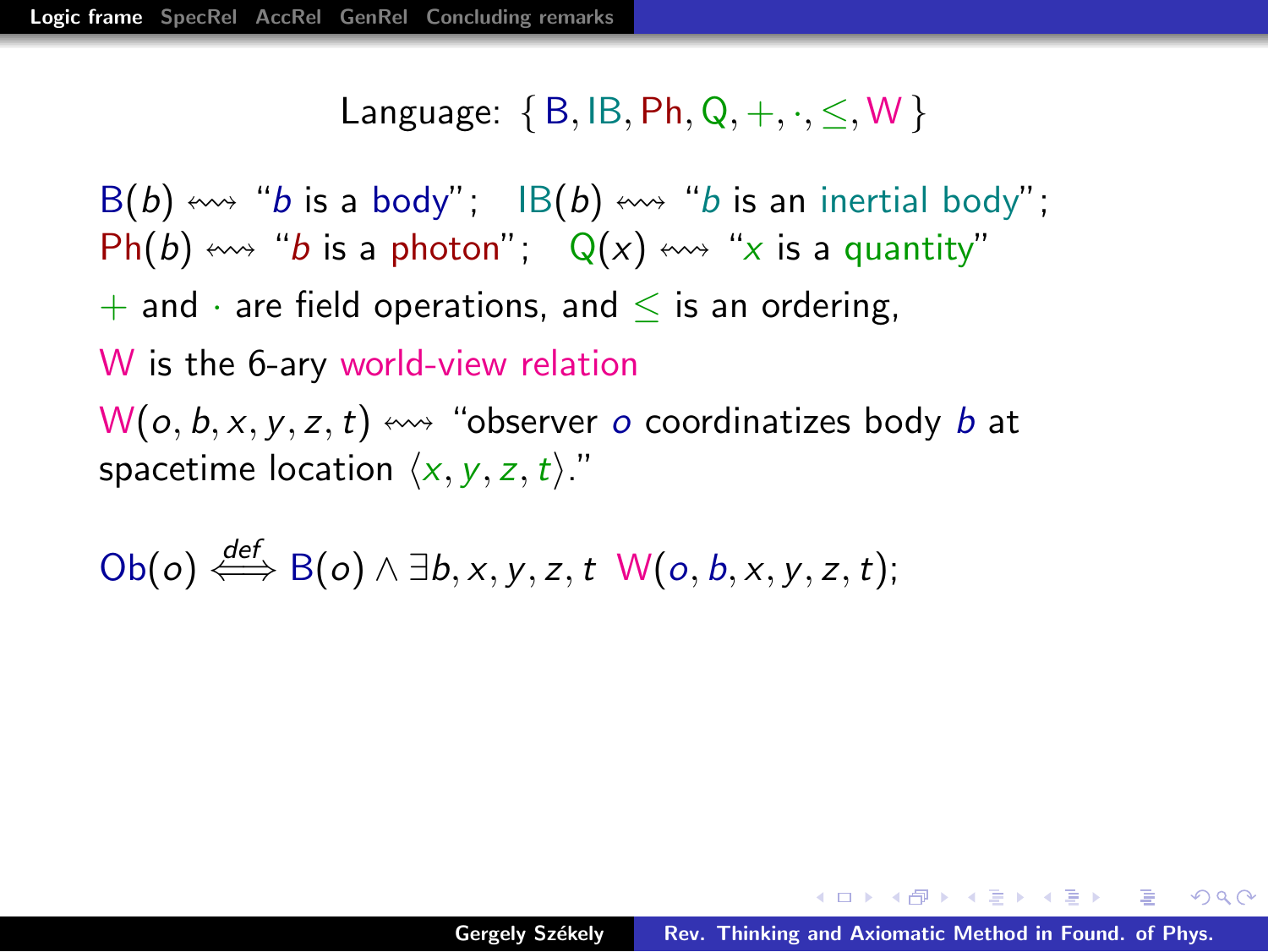$B(b) \leftrightarrow 'b$  is a body";  $IB(b) \leftrightarrow 'b$  is an inertial body";  $Ph(b) \leftrightarrow$  "b is a photon";  $Q(x) \leftrightarrow$  "x is a quantity"  $+$  and  $\cdot$  are field operations, and  $\leq$  is an ordering, W is the 6-ary world-view relation  $W(o, b, x, y, z, t) \leftrightarrow$  "observer o coordinatizes body b at spacetime location  $\langle x, y, z, t \rangle$ ."

Ob(*o*) 
$$
\stackrel{\text{def}}{\iff}
$$
 B(*o*)  $\land \exists b, x, y, z, t \quad W(o, b, x, y, z, t);$ 

→ 伊 → → ミ → → ミ → → ミ → つな(^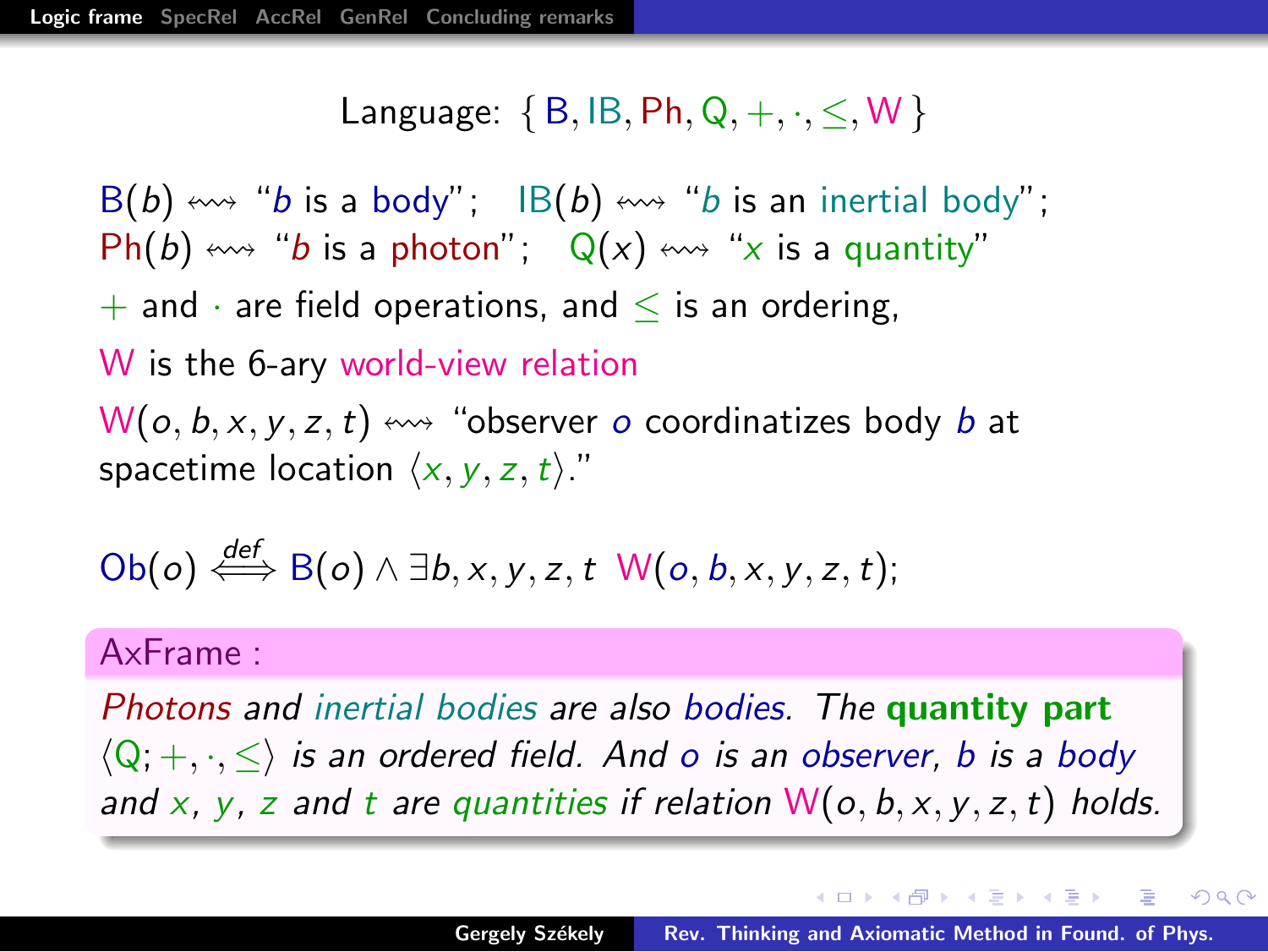$B(b) \leftrightarrow 'b$  is a body";  $IB(b) \leftrightarrow 'b$  is an inertial body";  $Ph(b) \leftrightarrow$  "b is a photon";  $Q(x) \leftrightarrow$  "x is a quantity"  $+$  and  $\cdot$  are field operations, and  $\leq$  is an ordering, W is the 6-ary world-view relation  $W(o, b, x, y, z, t) \leftrightarrow$  "observer o coordinatizes body b at spacetime location  $\langle x, y, z, t \rangle$ ."

Ob(*o*) 
$$
\stackrel{\text{def}}{\iff}
$$
 B(*o*)  $\land \exists b, x, y, z, t \quad W(o, b, x, y, z, t);$ 

#### AxFrame :

Photons and inertial bodies are also bodies. The quantity part  $\langle Q, +, \cdot, \leq \rangle$  is an ordered field. And o is an observer, b is a body and x, y, z and t are quantities if relation  $W(o, b, x, y, z, t)$  holds.

イロメ イ押メ イモメ イモメー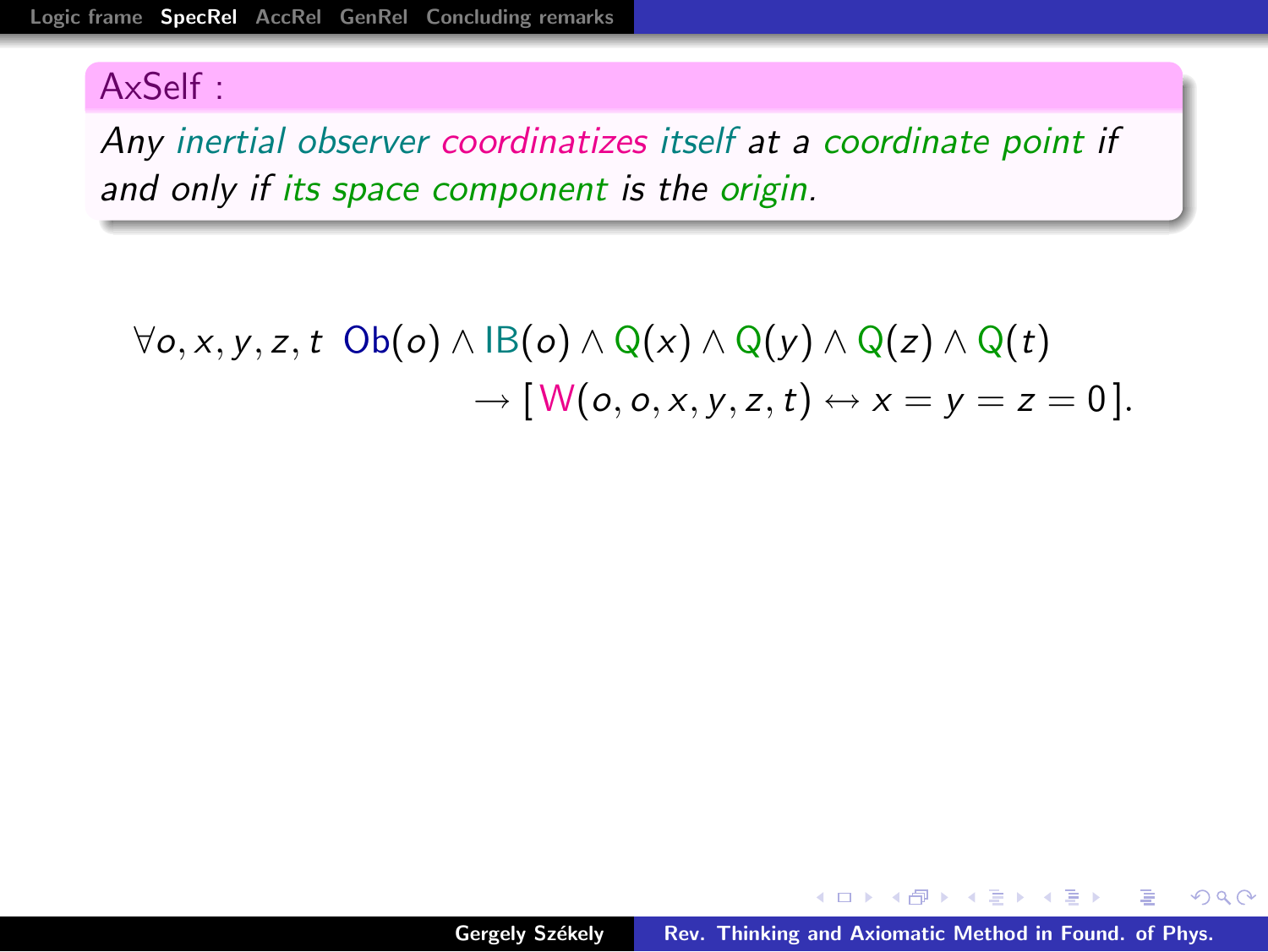Any inertial observer coordinatizes itself at a coordinate point if and only if its space component is the origin.

 $\forall$ o, x, y, z, t Ob(o) ∧ IB(o) ∧ Q(x) ∧ Q(y) ∧ Q(z) ∧ Q(t)  $\rightarrow$   $\lbrack W(\rho, \rho, x, y, z, t) \leftrightarrow x = y = z = 0 \rbrack$ .

<span id="page-6-0"></span> $4.50 \times 4.70 \times 4.70 \times$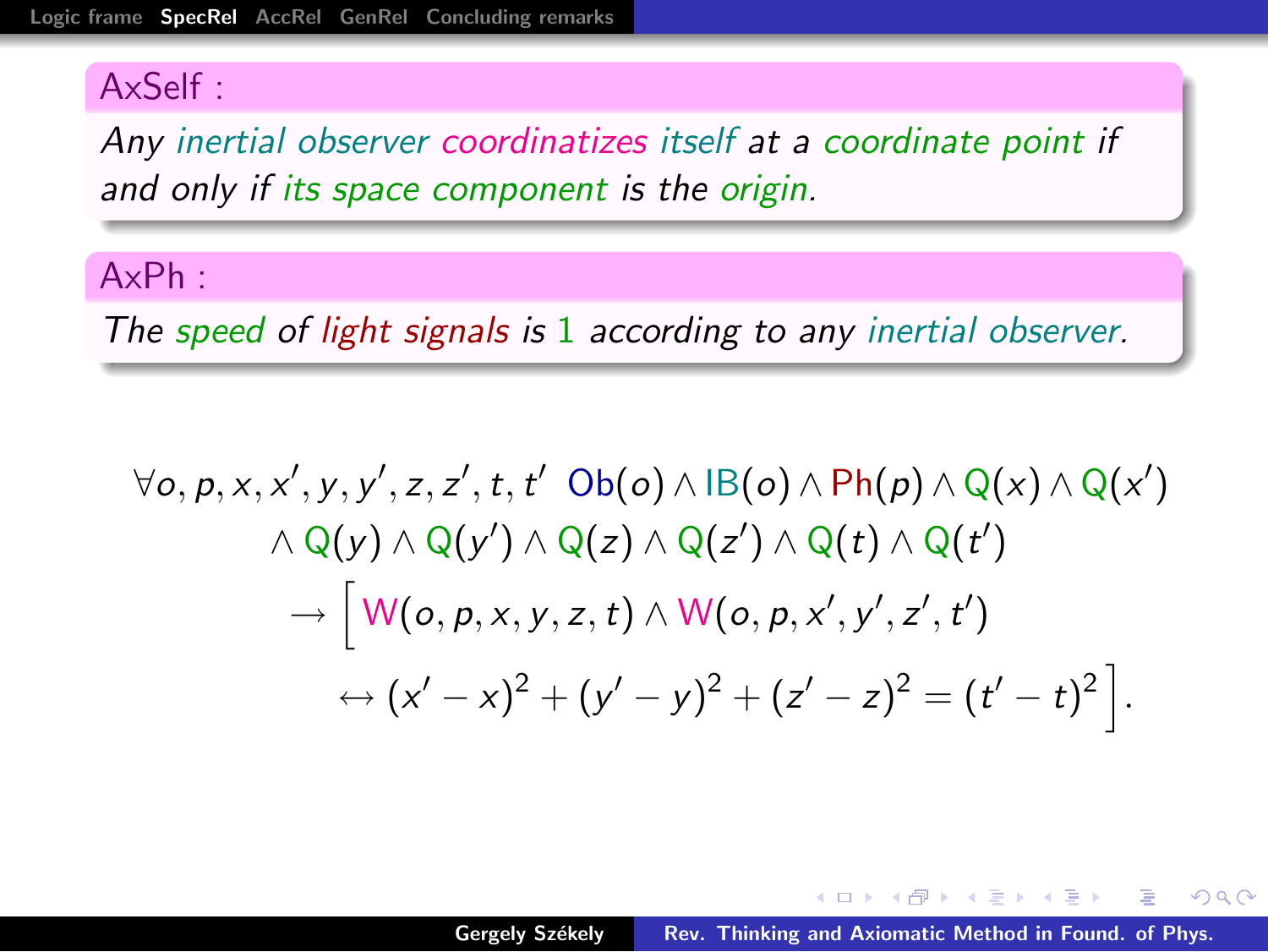Any inertial observer coordinatizes itself at a coordinate point if and only if its space component is the origin.

#### AxPh :

The speed of light signals is 1 according to any inertial observer.

$$
\forall o, p, x, x', y, y', z, z', t, t' \quad \text{Ob}(o) \land \text{IB}(o) \land \text{Ph}(p) \land \text{Q}(x) \land \text{Q}(x') \land \text{Q}(y) \land \text{Q}(y') \land \text{Q}(z) \land \text{Q}(z') \land \text{Q}(t) \land \text{Q}(t') \rightarrow \Big[ W(o, p, x, y, z, t) \land W(o, p, x', y', z', t') \leftrightarrow (x' - x)^2 + (y' - y)^2 + (z' - z)^2 = (t' - t)^2 \Big].
$$

 $A \cap B$   $A \cap B$   $B \cap A$   $B$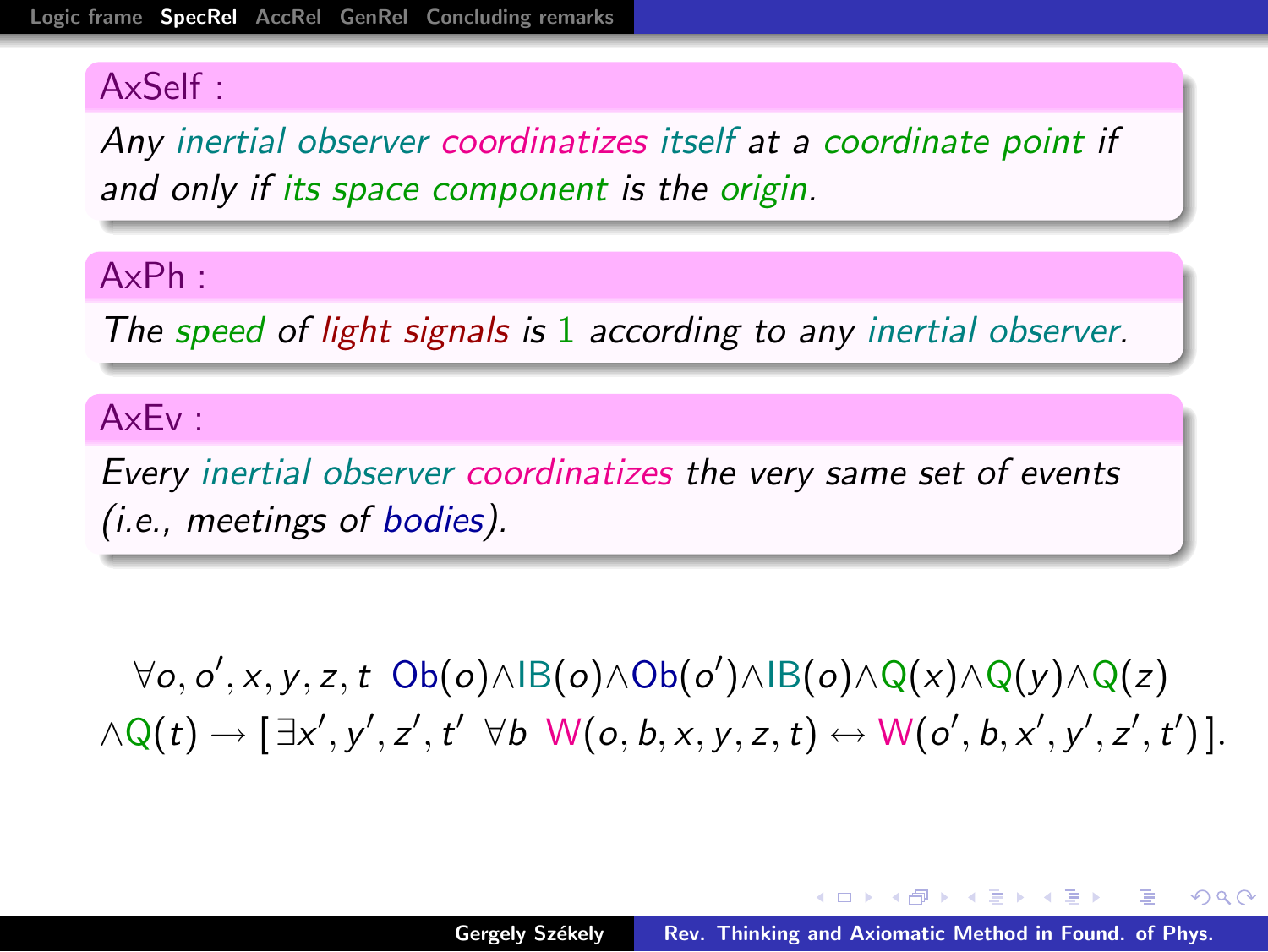Any inertial observer coordinatizes itself at a coordinate point if and only if its space component is the origin.

#### AxPh :

The speed of light signals is 1 according to any inertial observer.

#### AxEv :

Every inertial observer coordinatizes the very same set of events (i.e., meetings of bodies).

 $\forall o, o', x, y, z, t \; Ob(o) \land \exists B(o) \land Ob(o') \land \exists B(o) \land Q(x) \land Q(y) \land Q(z)$  $\land Q(t) \rightarrow [\exists x', y', z', t' \forall b \; W(o, b, x, y, z, t) \leftrightarrow W(o', b, x', y', z', t')]$ .

イロメ イ押 どうきょうきょ

后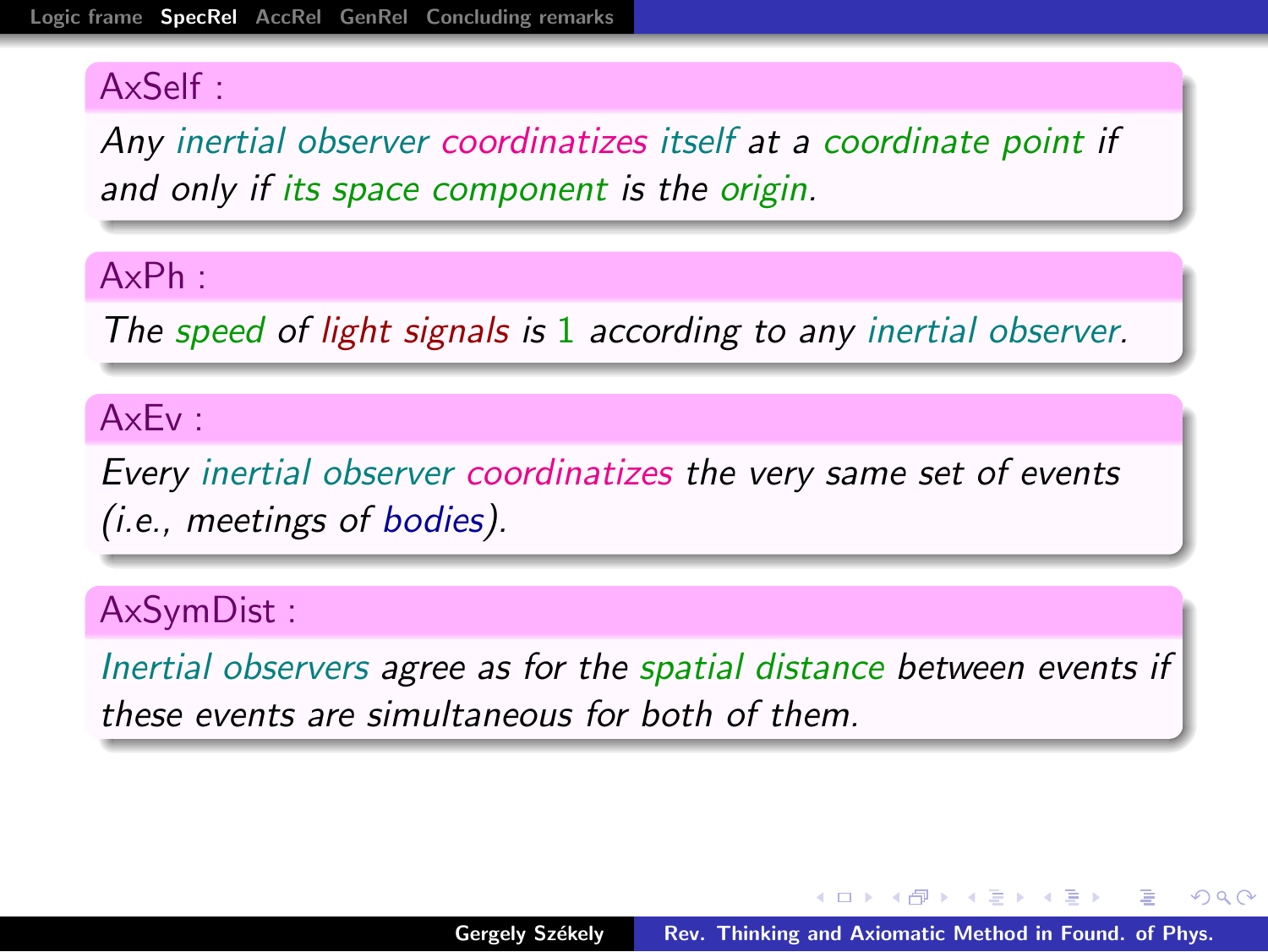Any inertial observer coordinatizes itself at a coordinate point if and only if its space component is the origin.

#### AxPh :

The speed of light signals is 1 according to any inertial observer.

#### AxEv :

Every inertial observer coordinatizes the very same set of events (i.e., meetings of bodies).

#### AxSymDist :

Inertial observers agree as for the spatial distance between events if these events are simultaneous for both of them.

- オート オート オート

へのへ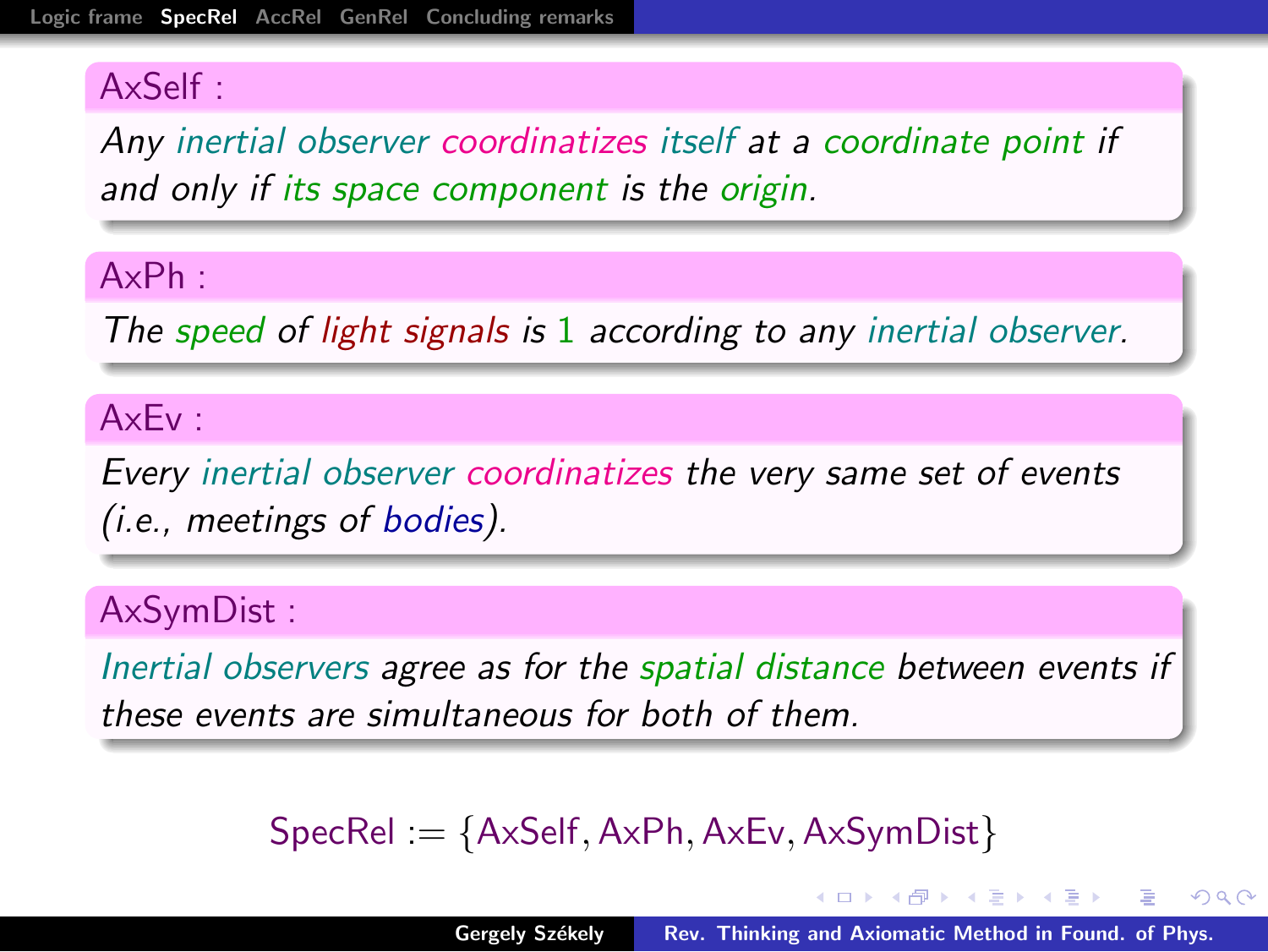Any inertial observer coordinatizes itself at a coordinate point if and only if its space component is the origin.

#### AxPh :

The speed of light signals is 1 according to any inertial observer.

#### AxEv :

Every inertial observer coordinatizes the very same set of events (i.e., meetings of bodies).

#### AxSymDist :

Inertial observers agree as for the spatial distance between events if these events are simultaneous for both of them.

## SpecRel := {AxSelf,AxPh,AxEv, AxSymDist}

イロメ マ桐 メラミンマティ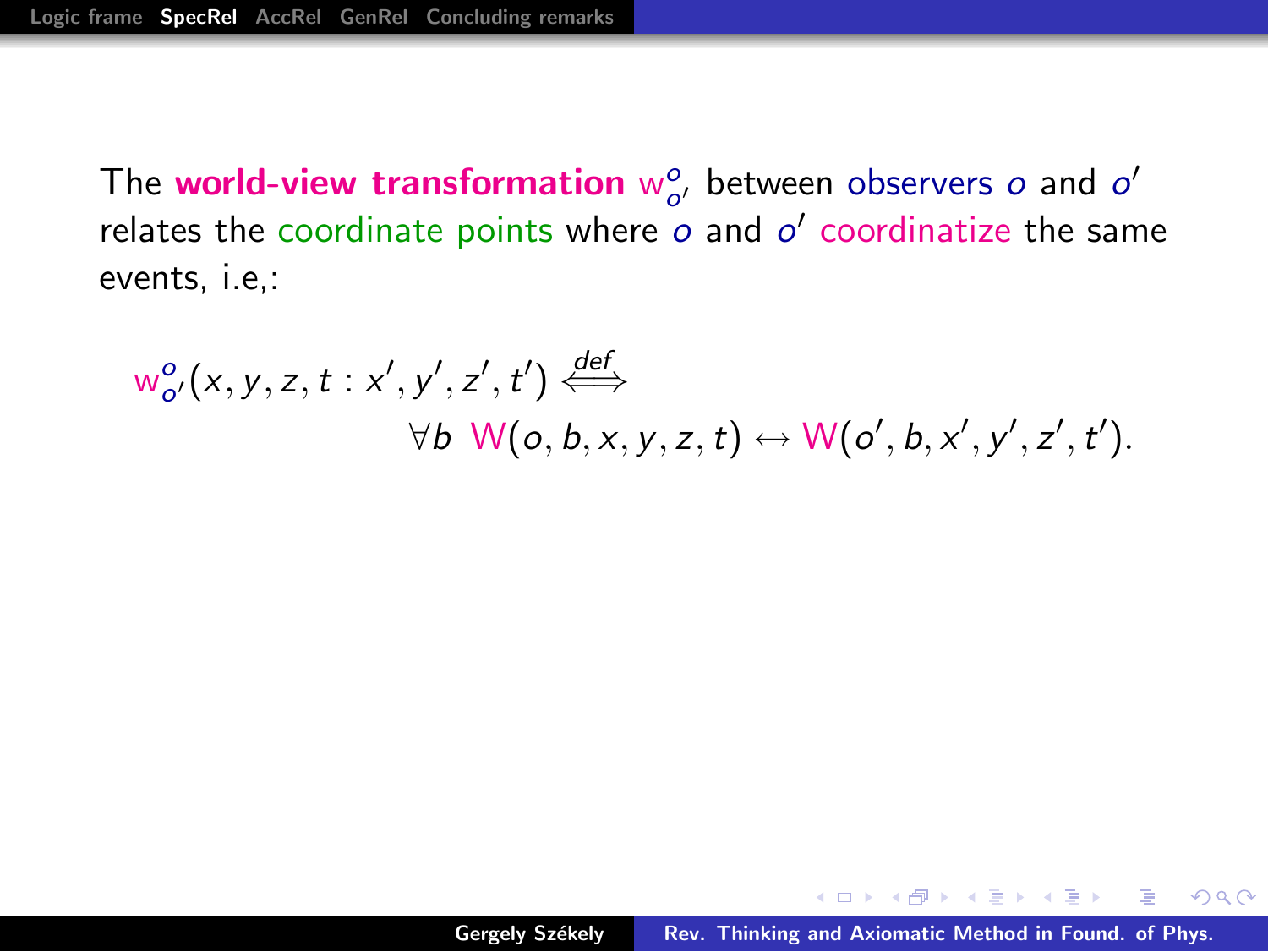The world-view transformation  $w_{o'}^o$  between observers  $o$  and  $o'$ relates the coordinate points where  $o$  and  $o'$  coordinatize the same events, i.e,:

$$
w_{o'}^{o}(x, y, z, t : x', y', z', t') \stackrel{\text{def}}{\iff} \forall b \ \mathsf{W}(o, b, x, y, z, t) \leftrightarrow \mathsf{W}(o', b, x', y', z', t').
$$

 $\langle \oplus \rangle$   $\rightarrow$   $\langle \oplus \rangle$   $\rightarrow$   $\langle \oplus \rangle$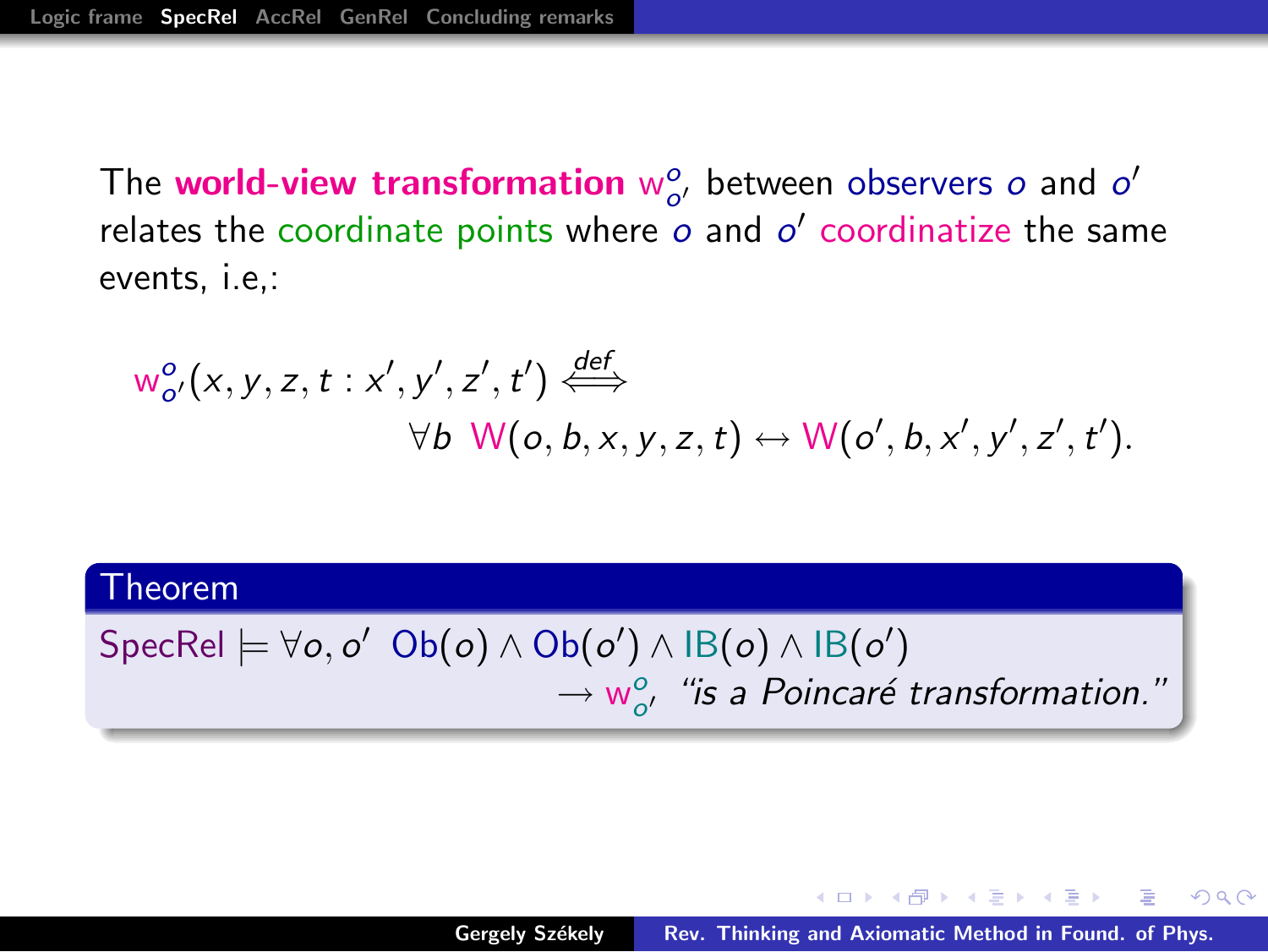The world-view transformation  $w_{o'}^o$  between observers  $o$  and  $o'$ relates the coordinate points where  $o$  and  $o'$  coordinatize the same events, i.e,:

$$
w_{o'}^{o}(x, y, z, t : x', y', z', t') \stackrel{\text{def}}{\iff} \forall b \ \mathsf{W}(o, b, x, y, z, t) \leftrightarrow \mathsf{W}(o', b, x', y', z', t').
$$

#### Theorem

# $\mathsf{SpecRel} \models \forall o, o' \; \mathsf{Ob}(o) \land \mathsf{Ob}(o') \land \mathsf{IB}(o) \land \mathsf{IB}(o')$  $\rightarrow$   $w_{o'}^{\circ}$ , "is a Poincaré transformation."

 $A \oplus A \times A \oplus A \times A \oplus A$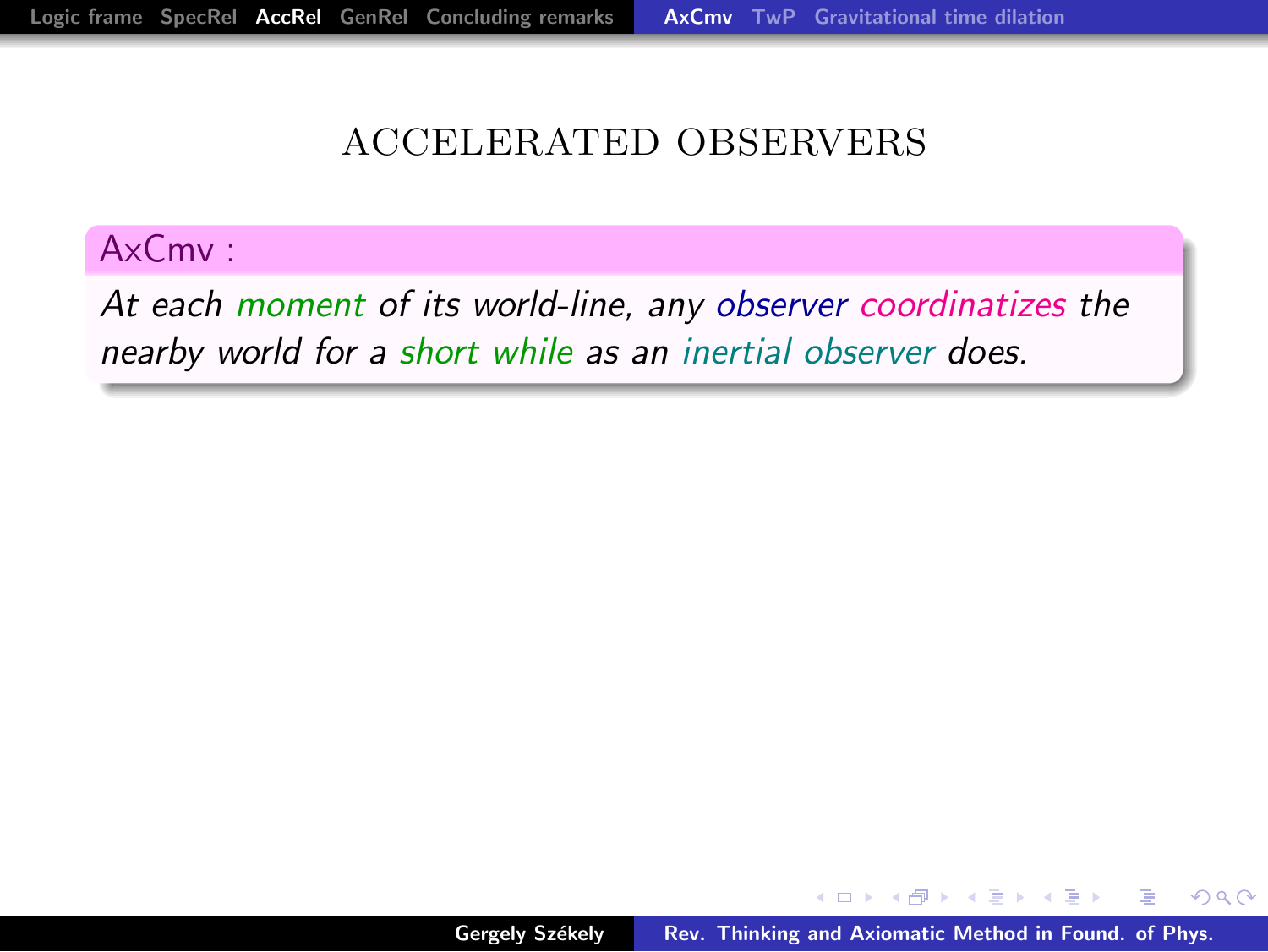#### ACCELERATED OBSERVERS

#### AxCmv :

At each moment of its world-line, any observer coordinatizes the nearby world for a short while as an inertial observer does.

<span id="page-13-0"></span>K 御 ▶ | K 唐 ▶ | K 唐 ▶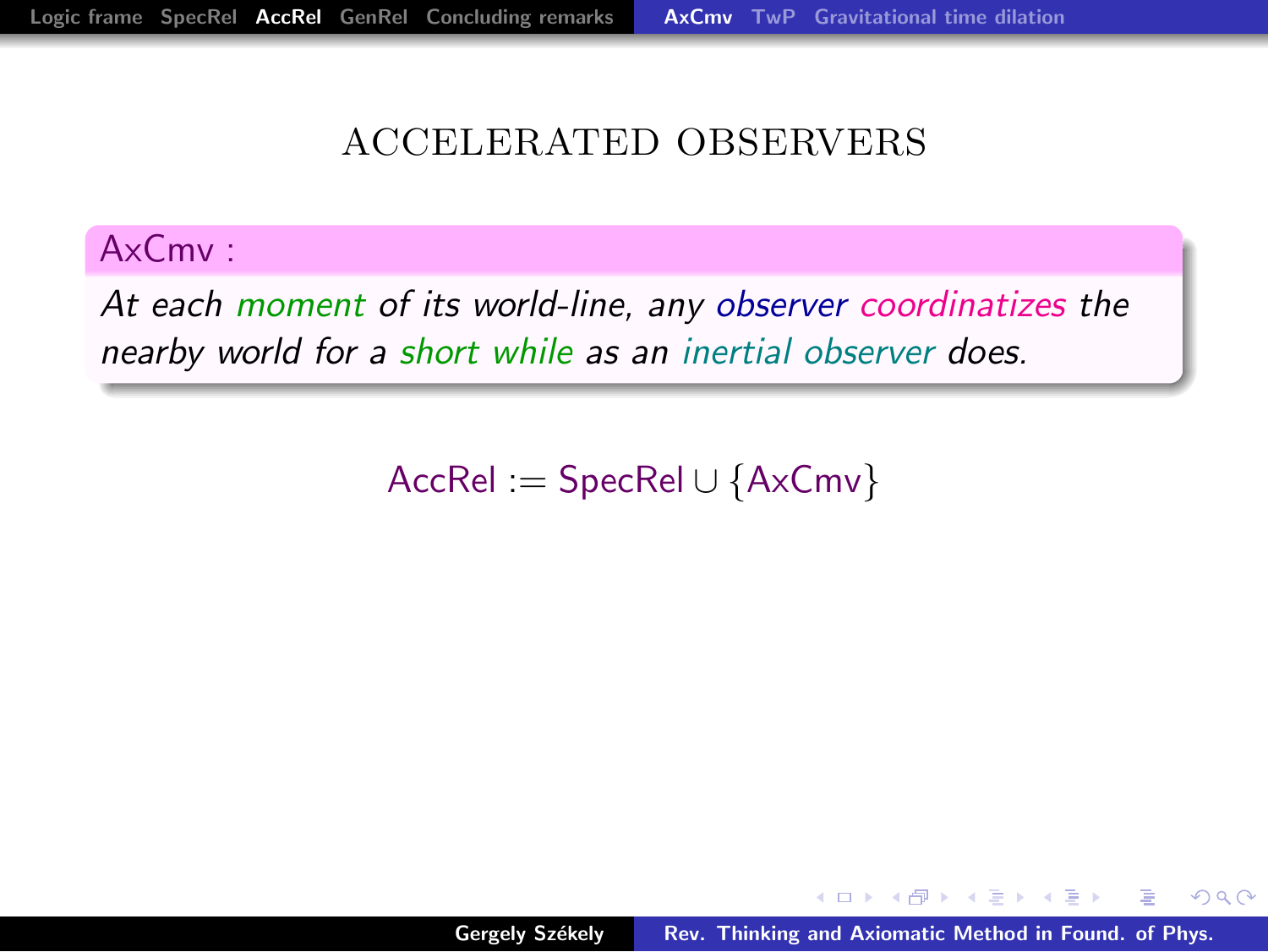#### ACCELERATED OBSERVERS

#### AxCmv :

At each moment of its world-line, any observer coordinatizes the nearby world for a short while as an inertial observer does.

 $AccRel := SpecRel \cup \{AxCmv\}$ 

K 御 ▶ | K 唐 ▶ | K 唐 ▶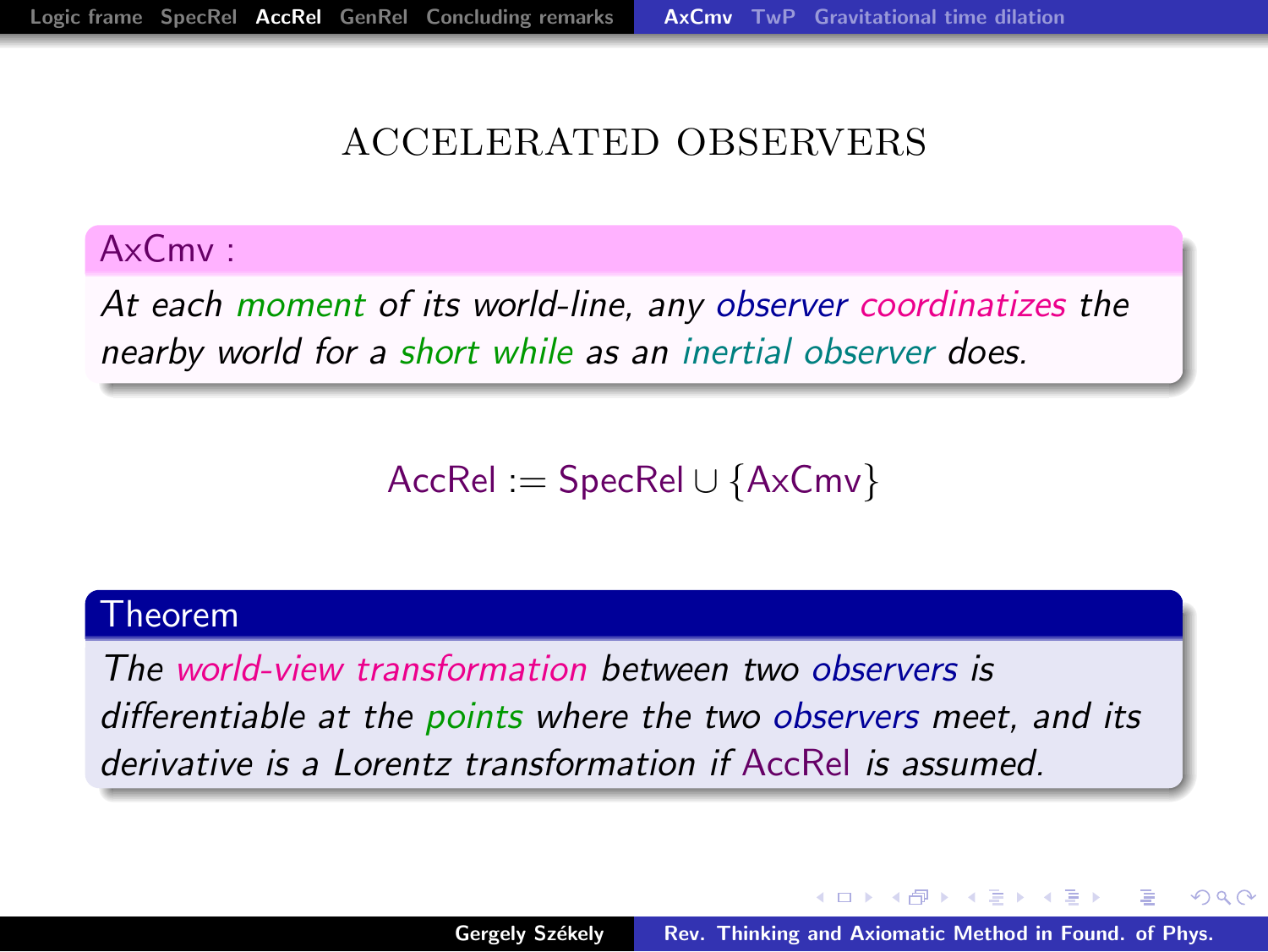#### ACCELERATED OBSERVERS

#### AxCmv :

At each moment of its world-line, any observer coordinatizes the nearby world for a short while as an inertial observer does.

 $AccRel := SpecRel \cup \{AxCmv\}$ 

#### Theorem

The world-view transformation between two observers is differentiable at the points where the two observers meet, and its derivative is a Lorentz transformation if AccRel is assumed.

<span id="page-15-0"></span> $A \cap B$  is a  $B \cap A \cap B$  is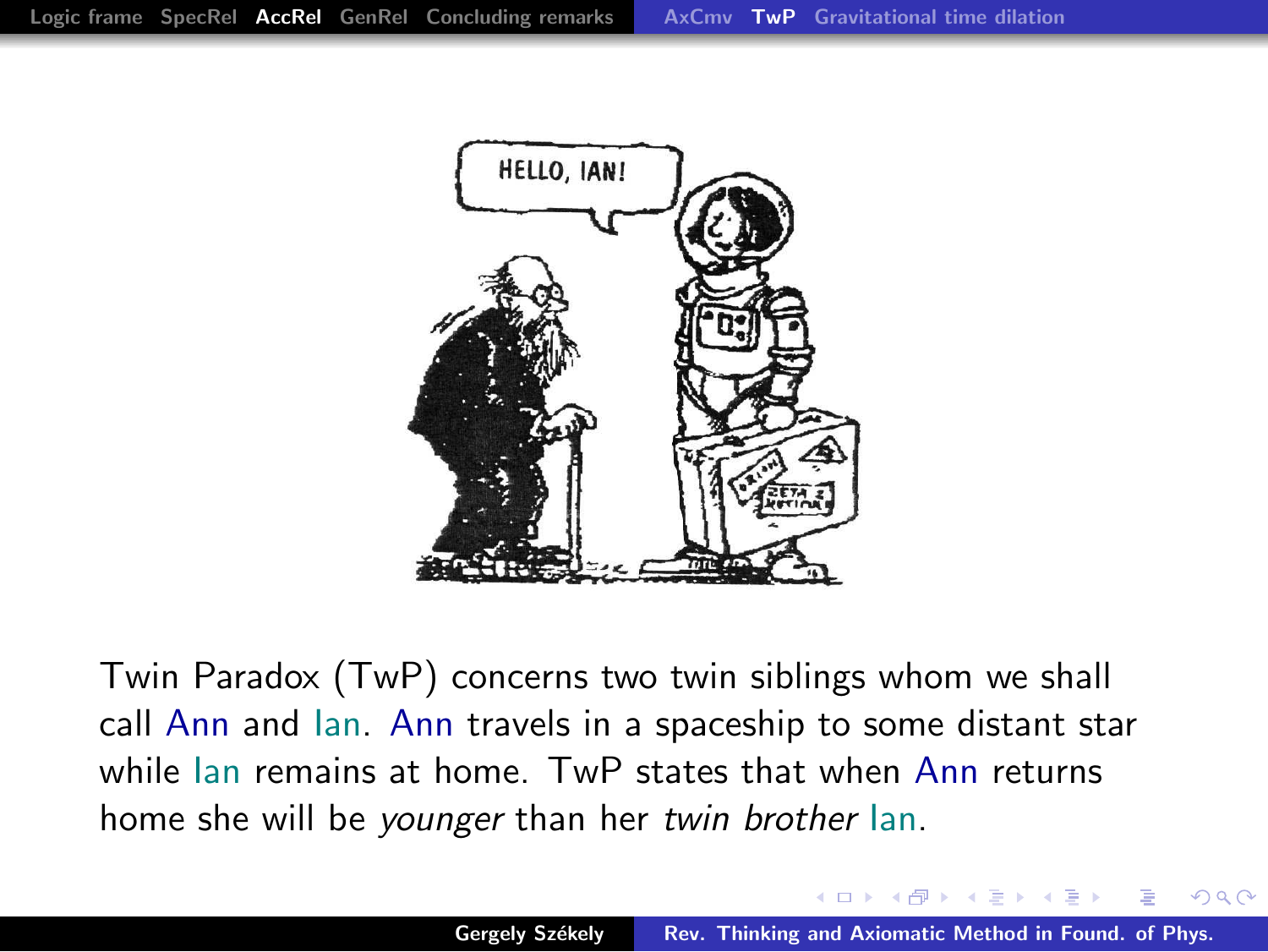

Twin Paradox (TwP) concerns two twin siblings whom we shall call Ann and Ian. Ann travels in a spaceship to some distant star while Ian remains at home. TwP states that when Ann returns home she will be younger than her twin brother Ian.

<span id="page-16-0"></span>マーティ ミュラー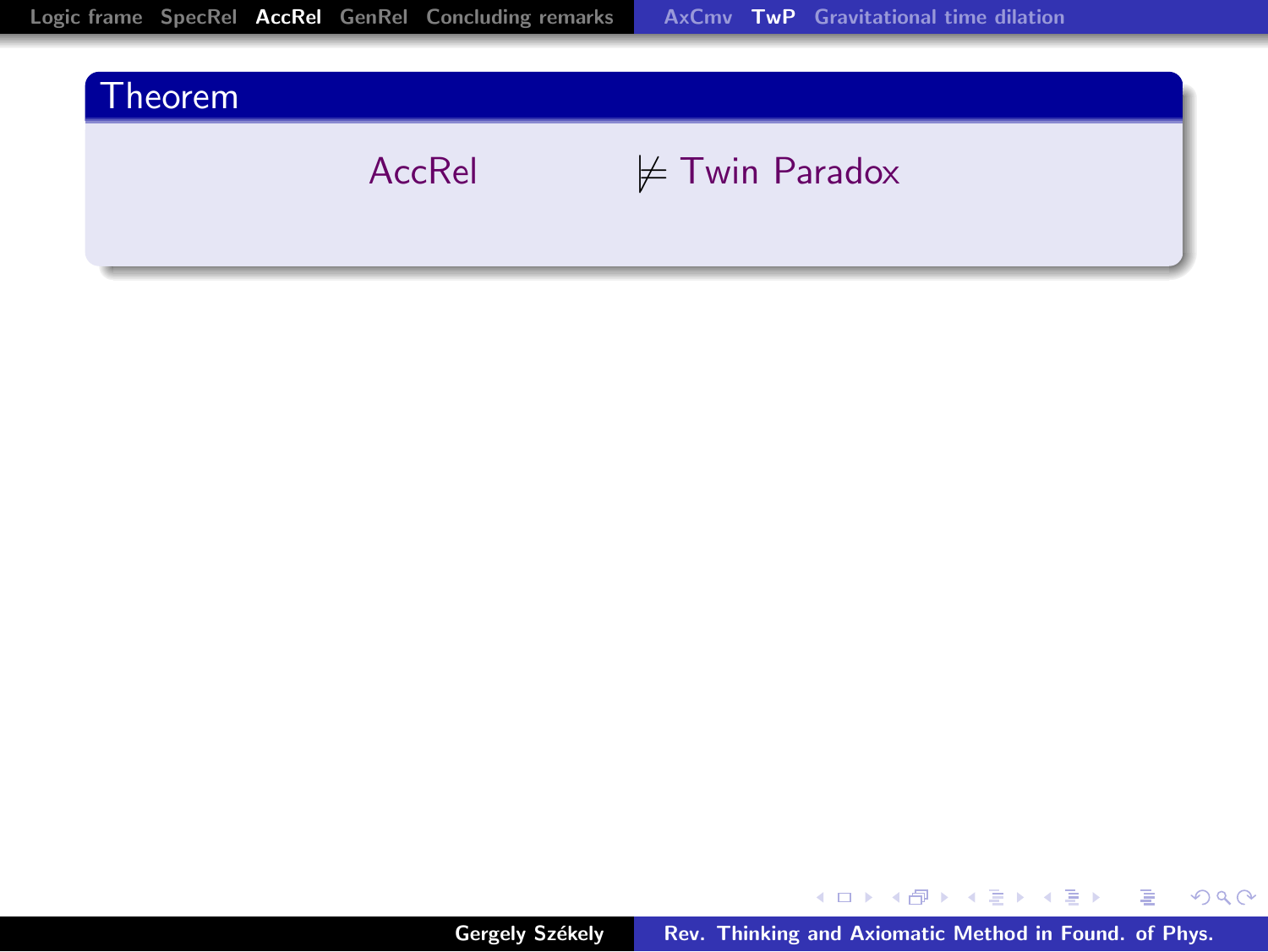

メロト メ都 トメ 君 トメ 君 トー

■ 1  $299$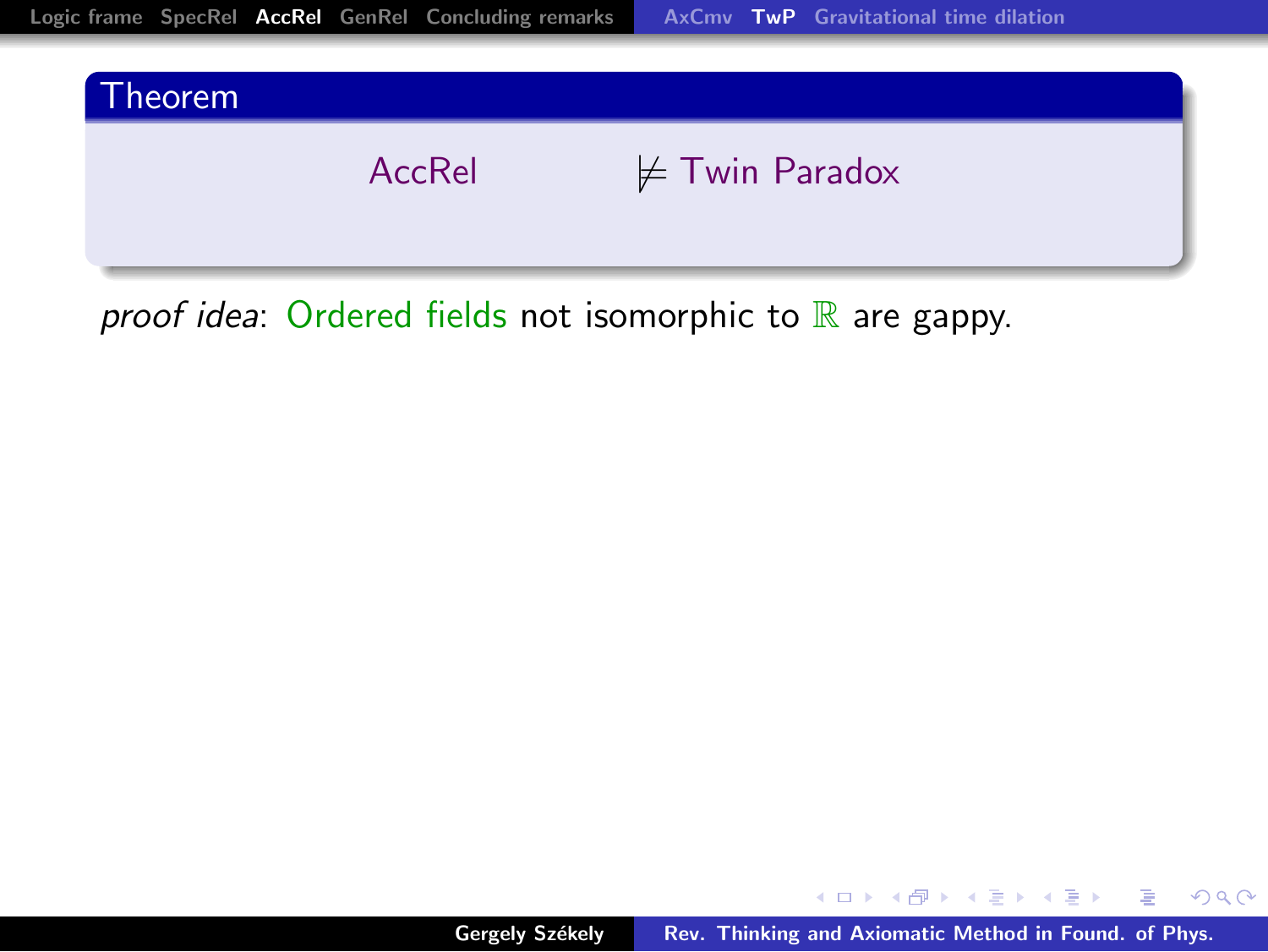



proof idea: Ordered fields not isomorphic to  $\mathbb R$  are gappy.

イロメ イ部メ イヨメ イヨメー

重

 $299$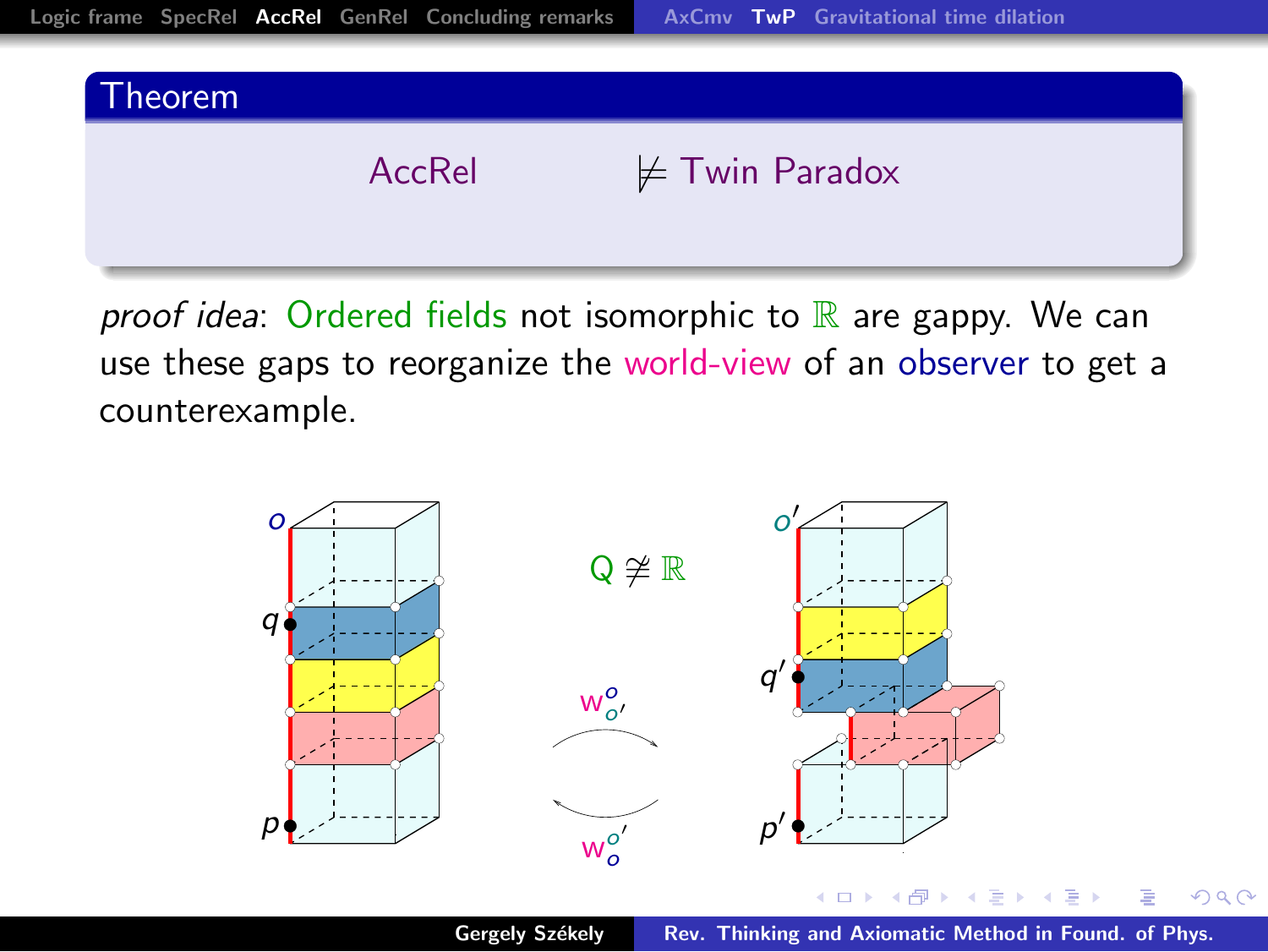

proof idea: Ordered fields not isomorphic to  $\mathbb R$  are gappy. We can use these gaps to reorganize the world-view of an observer to get a counterexample.

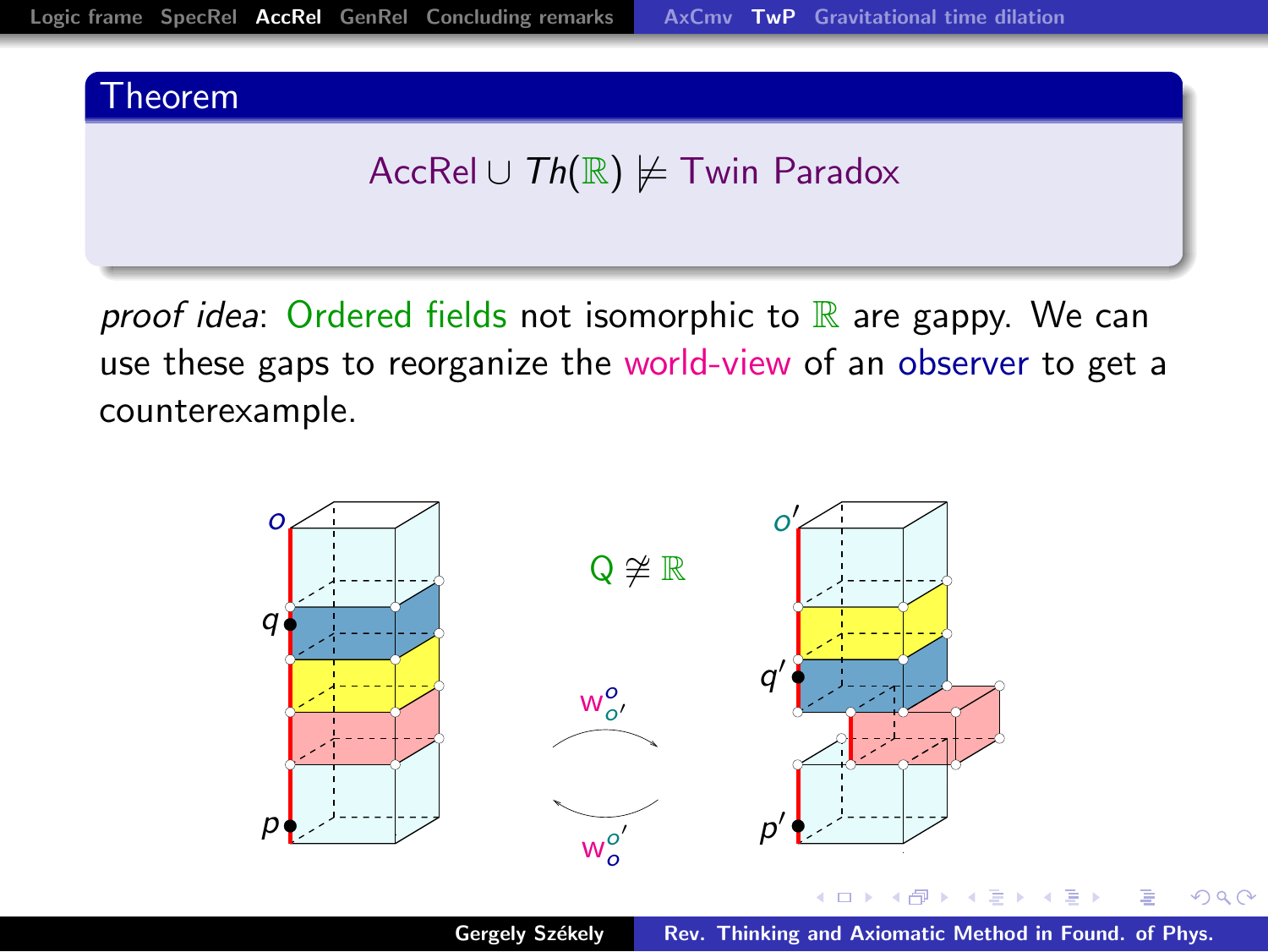# Theorem AccRel ∪  $Th(\mathbb{R}) \not\models$  Twin Paradox

*proof idea*: Ordered fields not isomorphic to  $\mathbb R$  are gappy. We can use these gaps to reorganize the world-view of an observer to get a counterexample.



Gergely Székely [Rev. Thinking and Axiomatic Method in Found. of Phys.](#page-0-0)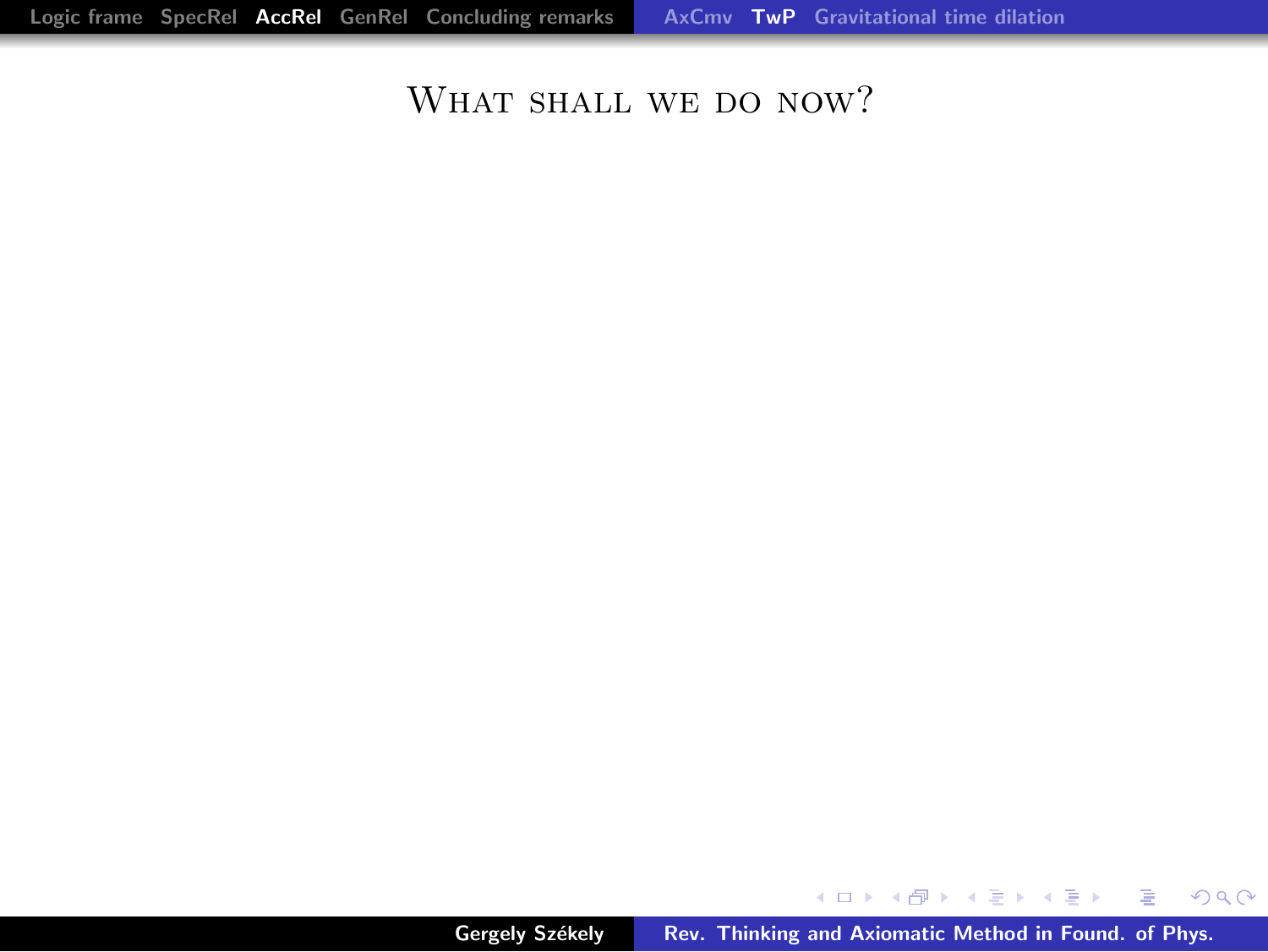#### WHAT SHALL WE DO NOW?

メロメ メタメ メミメ メミメン きっ

 $299$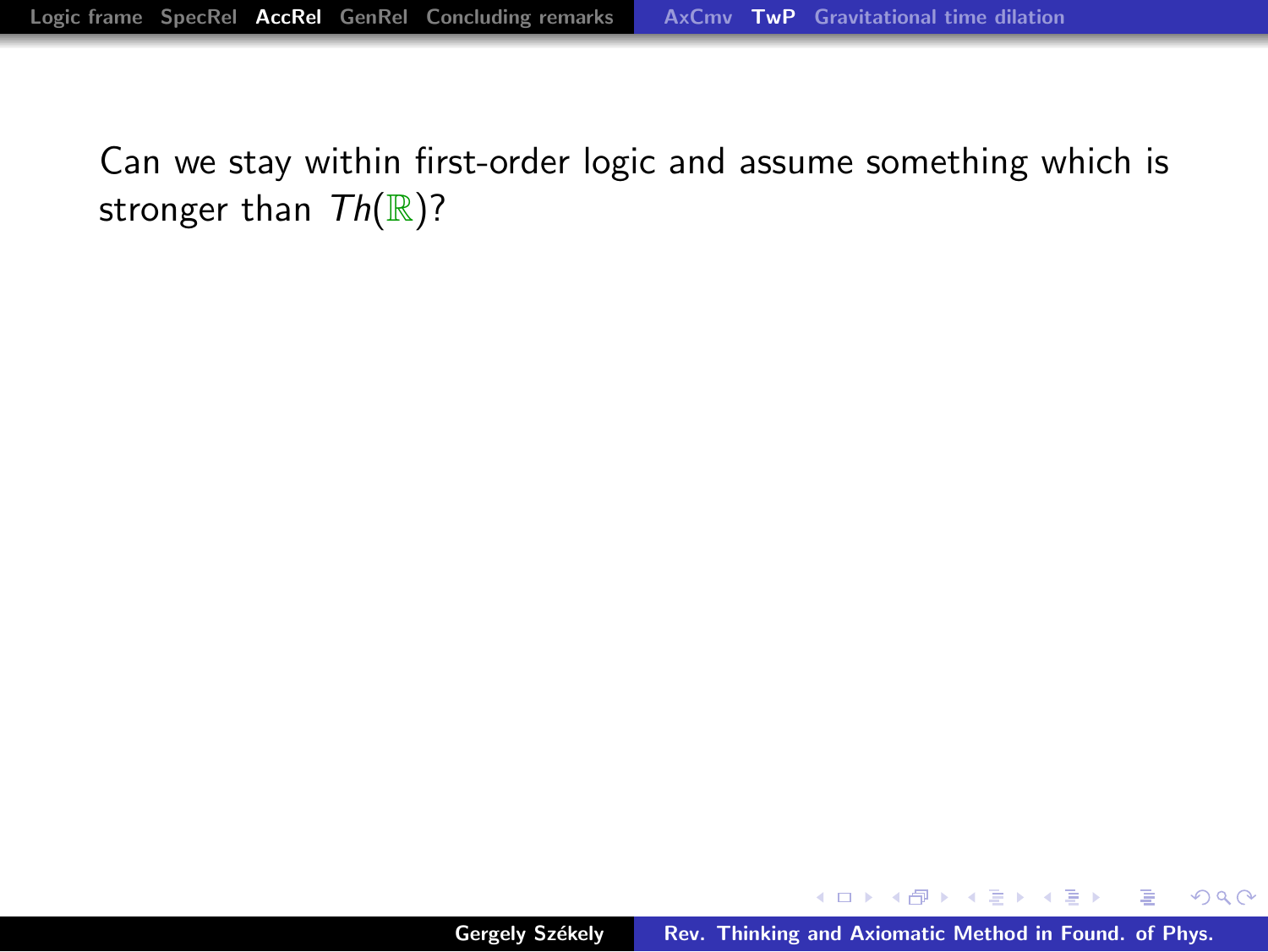K ロ ⊁ K 倒 ≯ K ミ ⊁ K ミ ≯

 $299$ 

重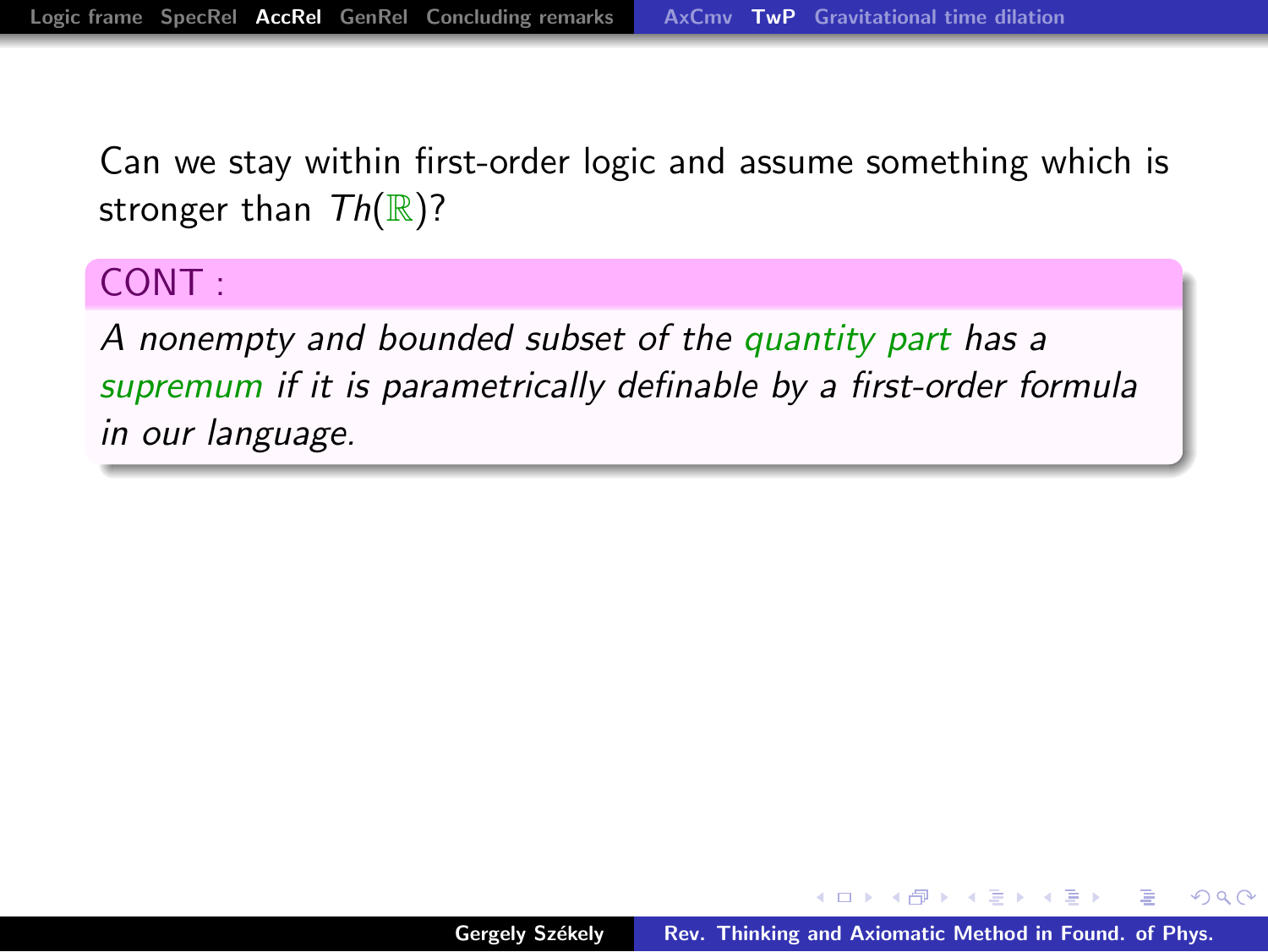#### CONT :

A nonempty and bounded subset of the quantity part has a supremum if it is parametrically definable by a first-order formula in our language.

 $\mathcal{A}$  and  $\mathcal{A}$  in the set of  $\mathbb{R}^n$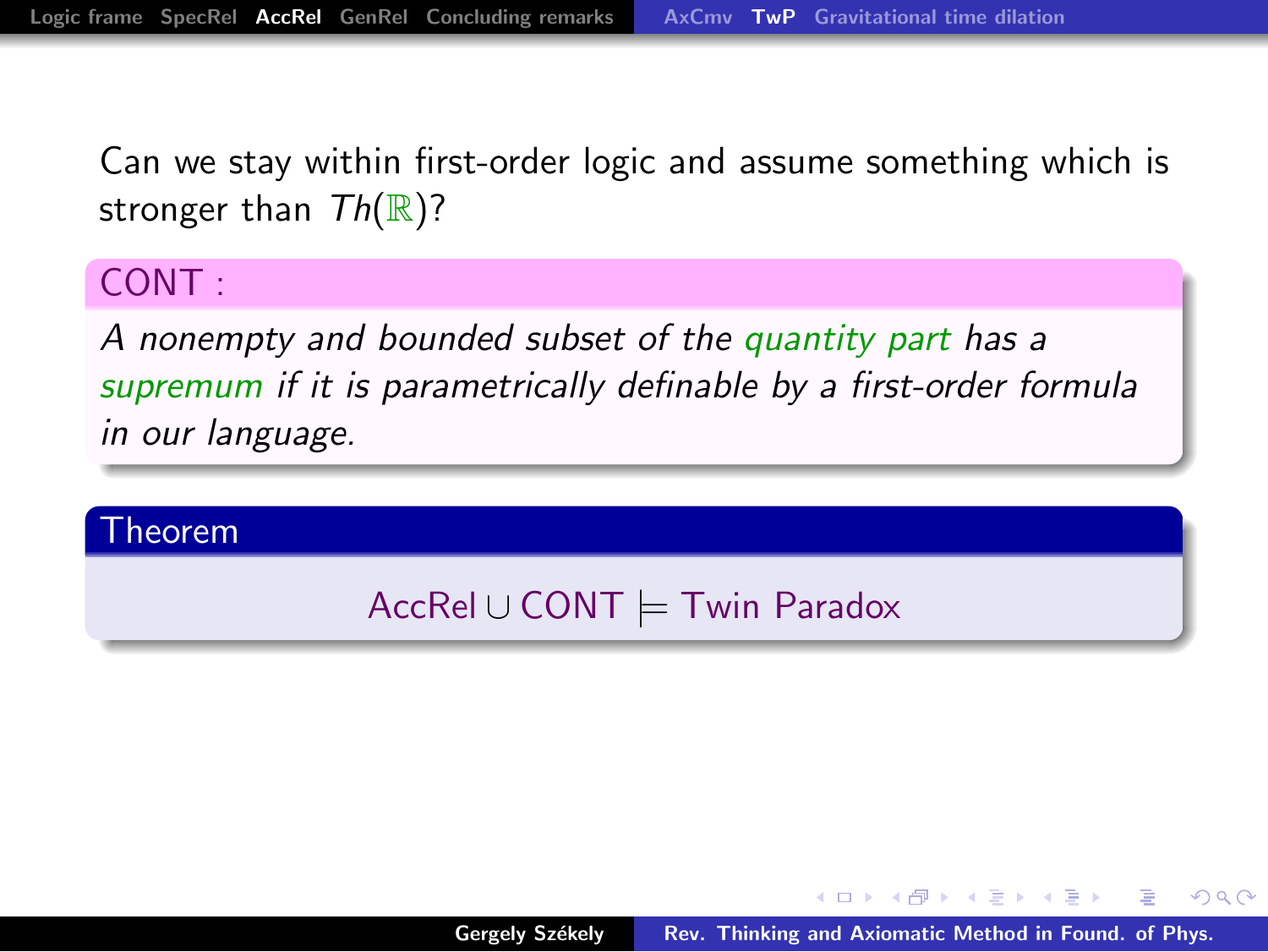#### CONT :

A nonempty and bounded subset of the quantity part has a supremum if it is parametrically definable by a first-order formula in our language.

#### Theorem

## AccRel ∪ CONT |= Twin Paradox

→ イ団 メ イ ヨ メ イ ヨ メ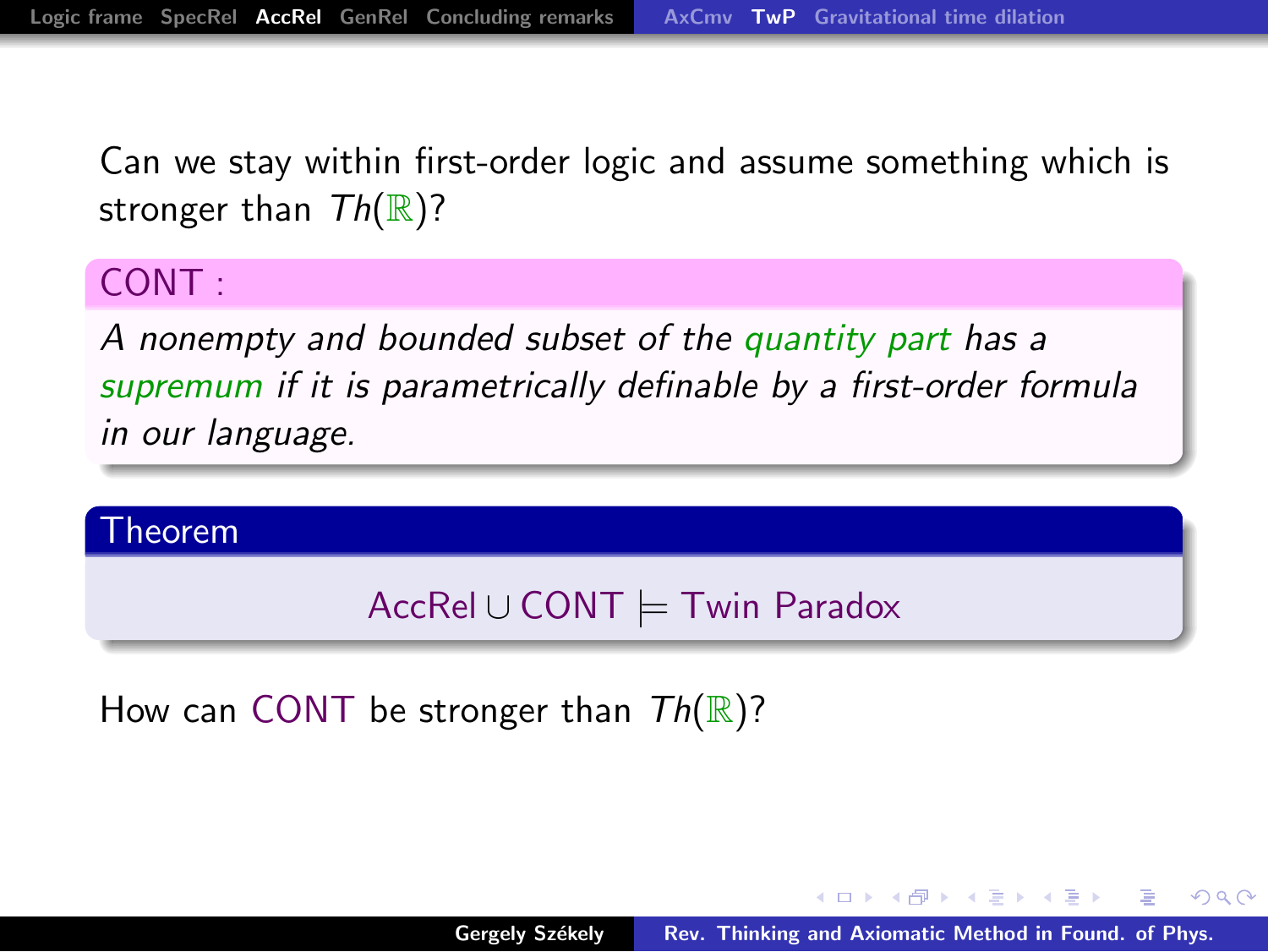#### CONT :

A nonempty and bounded subset of the quantity part has a supremum if it is parametrically definable by a first-order formula in our language.

#### Theorem

#### AccRel ∪ CONT |= Twin Paradox

How can CONT be stronger than  $Th(\mathbb{R})$ ?

マーター マートマート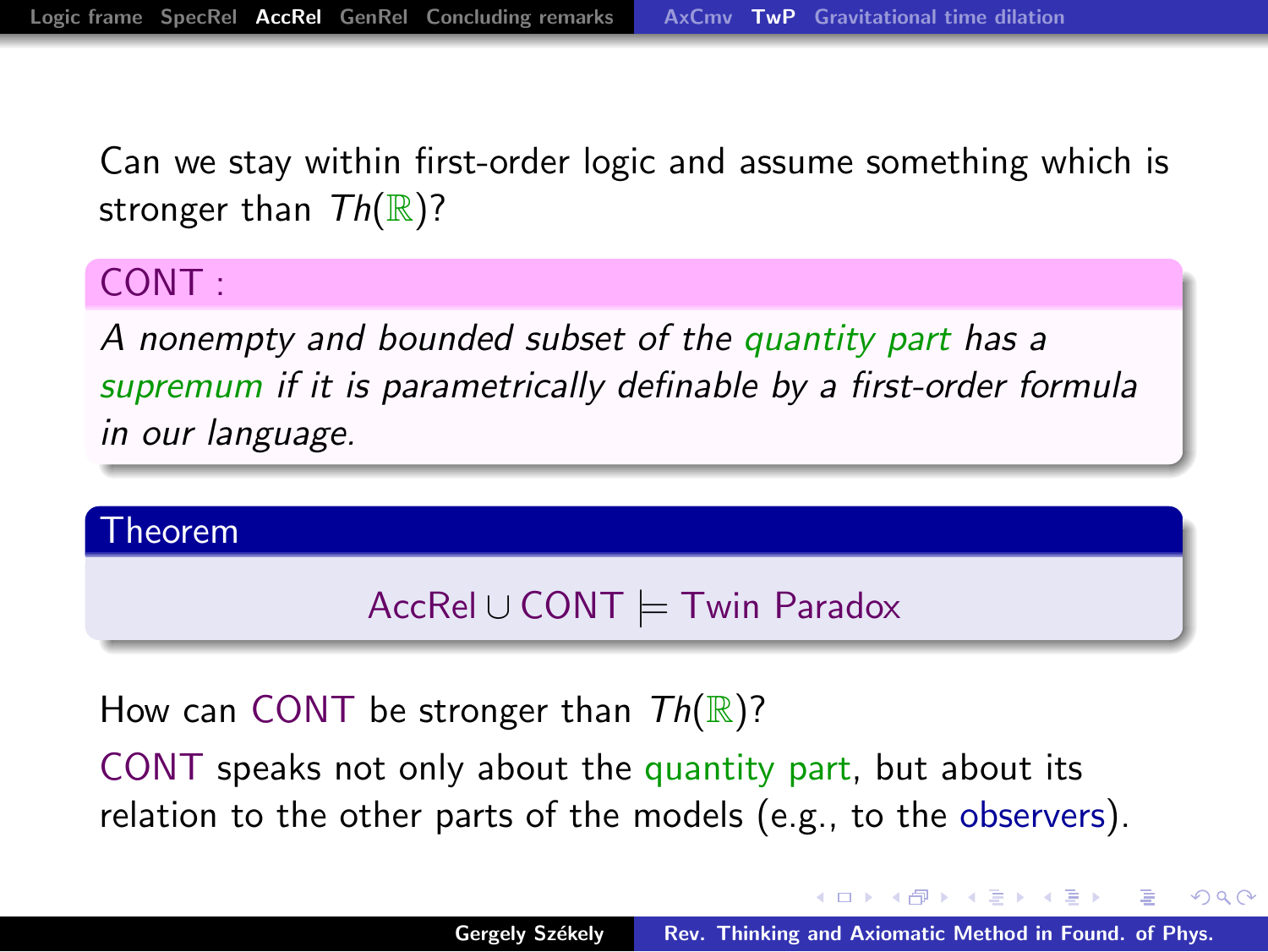#### CONT :

A nonempty and bounded subset of the quantity part has a supremum if it is parametrically definable by a first-order formula in our language.

#### Theorem

#### AccRel ∪ CONT |= Twin Paradox

How can CONT be stronger than  $Th(\mathbb{R})$ ?

CONT speaks not only about the quantity part, but about its relation to the other parts of the models (e.g., to the observers).

イロメ イ御 メイモメ イモメ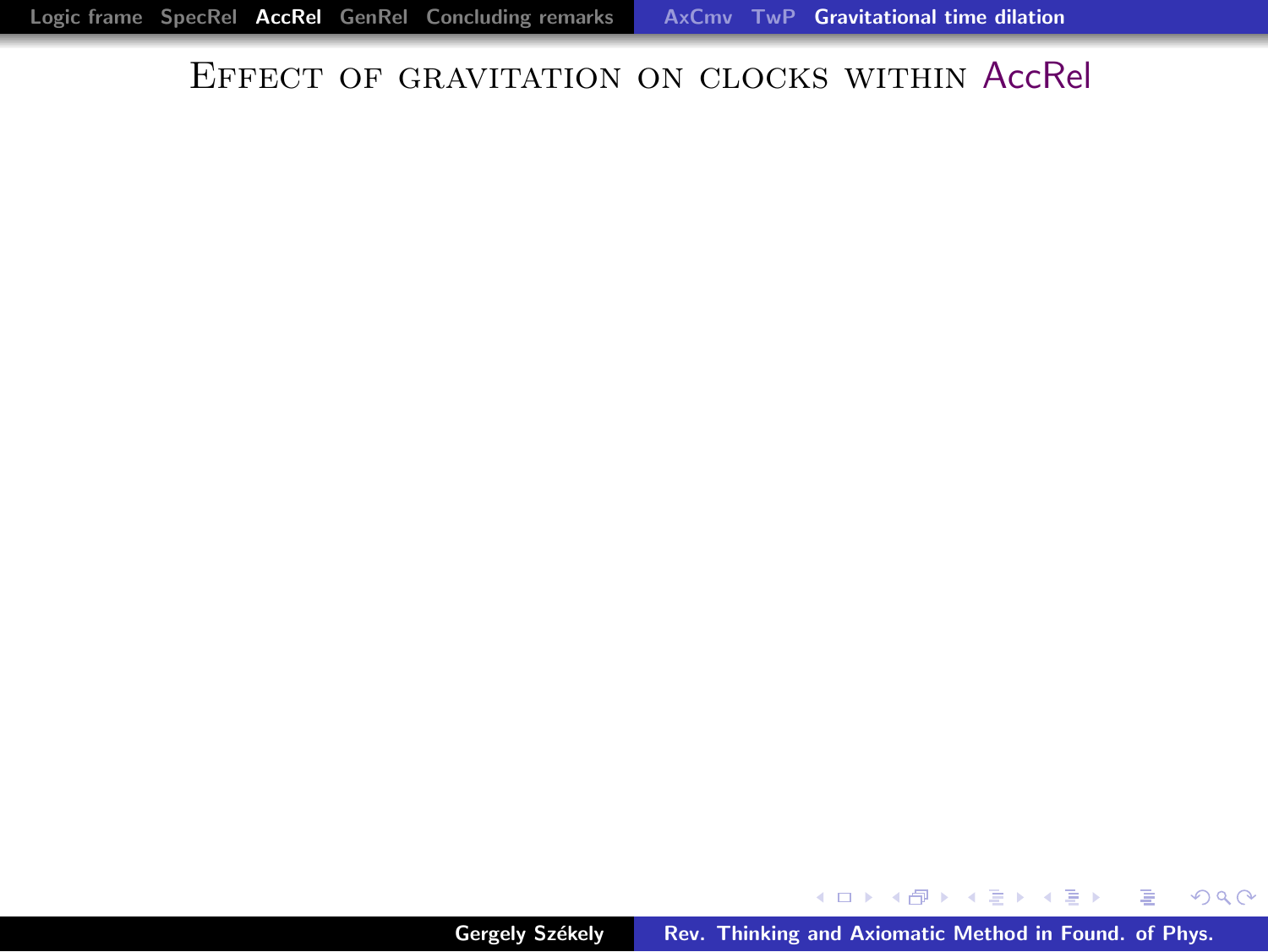<span id="page-27-0"></span>メロメ メ御 メメ きょくきょう きっ

 $298$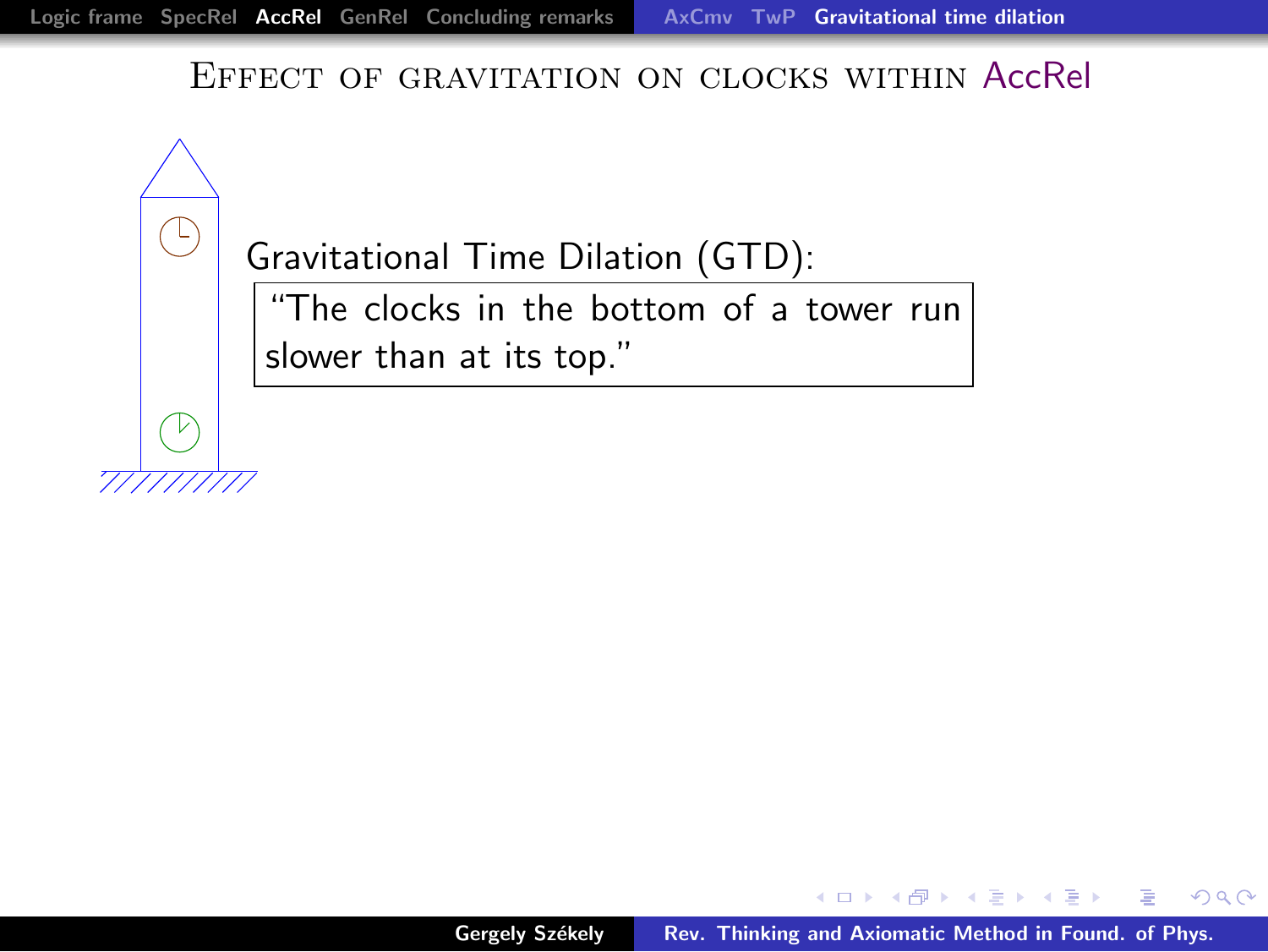Gravitational Time Dilation (GTD):

 $\overline{H}$  clocks in the bottom of a tower run slower than at its top."

→ イ団 ▶ → ミ ▶ → モ ▶ ▶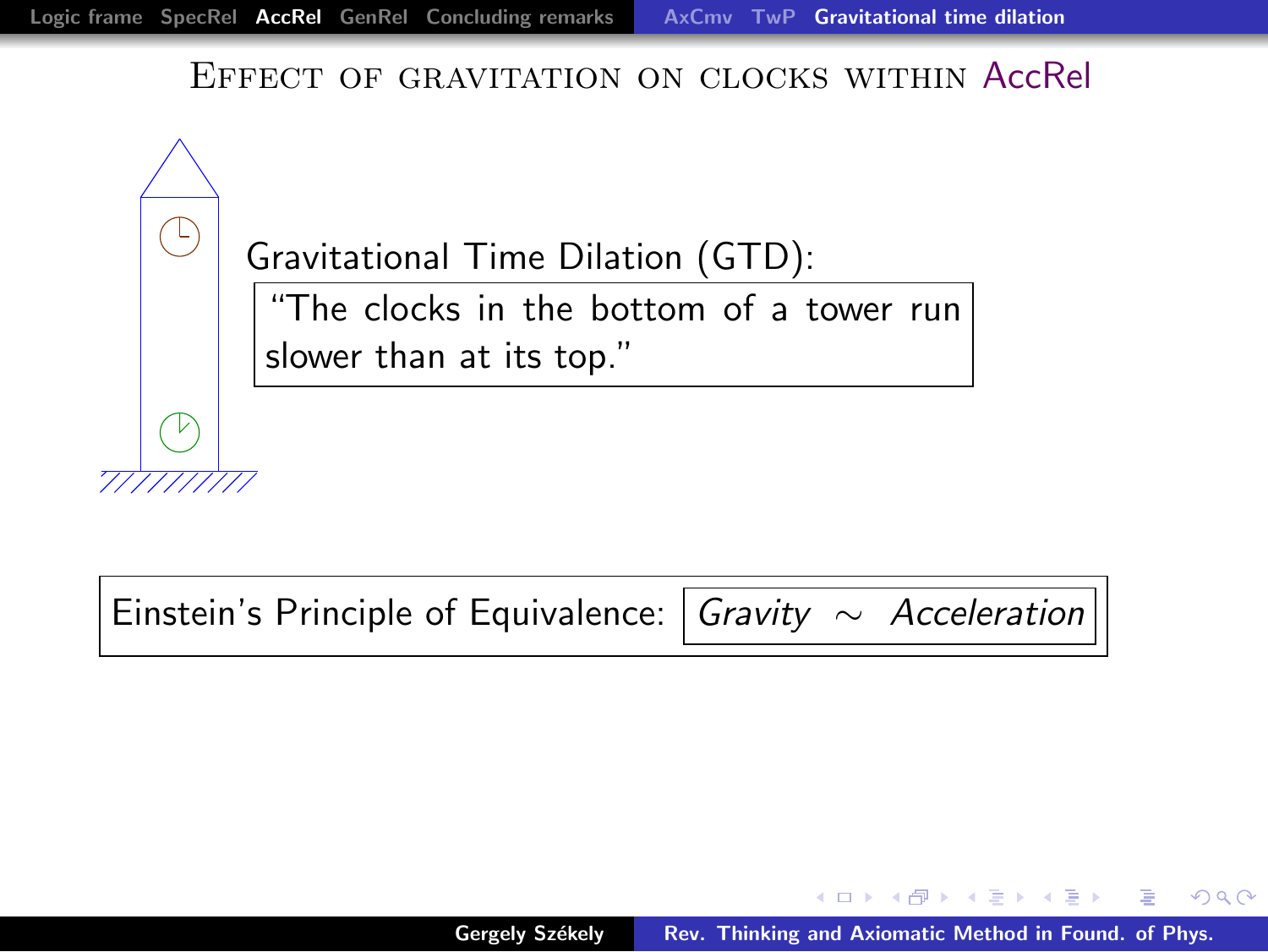

Einstein's Principle of Equivalence: Gravity ~ Acceleration

 $\mathcal{A}$   $\mathcal{A}$   $\mathcal{B}$   $\mathcal{A}$   $\mathcal{B}$   $\mathcal{B}$   $\mathcal{B}$   $\mathcal{B}$   $\mathcal{B}$   $\mathcal{B}$   $\mathcal{B}$   $\mathcal{B}$   $\mathcal{B}$   $\mathcal{B}$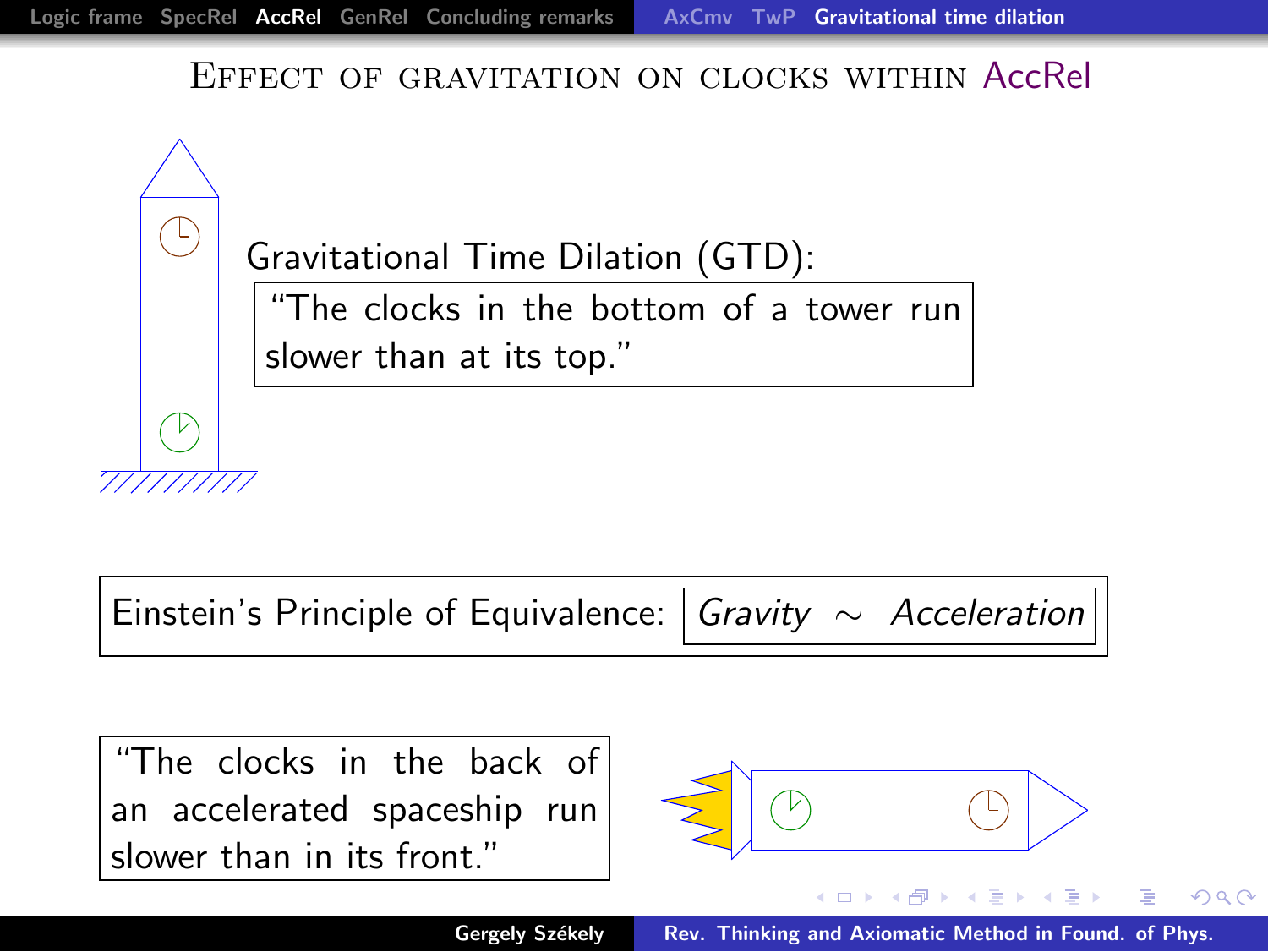

Einstein's Principle of Equivalence: Gravity ∼ Acceleration

"The clocks in the back of an accelerated spaceship run slower than in its front."



<span id="page-30-0"></span> $+$ 

へのへ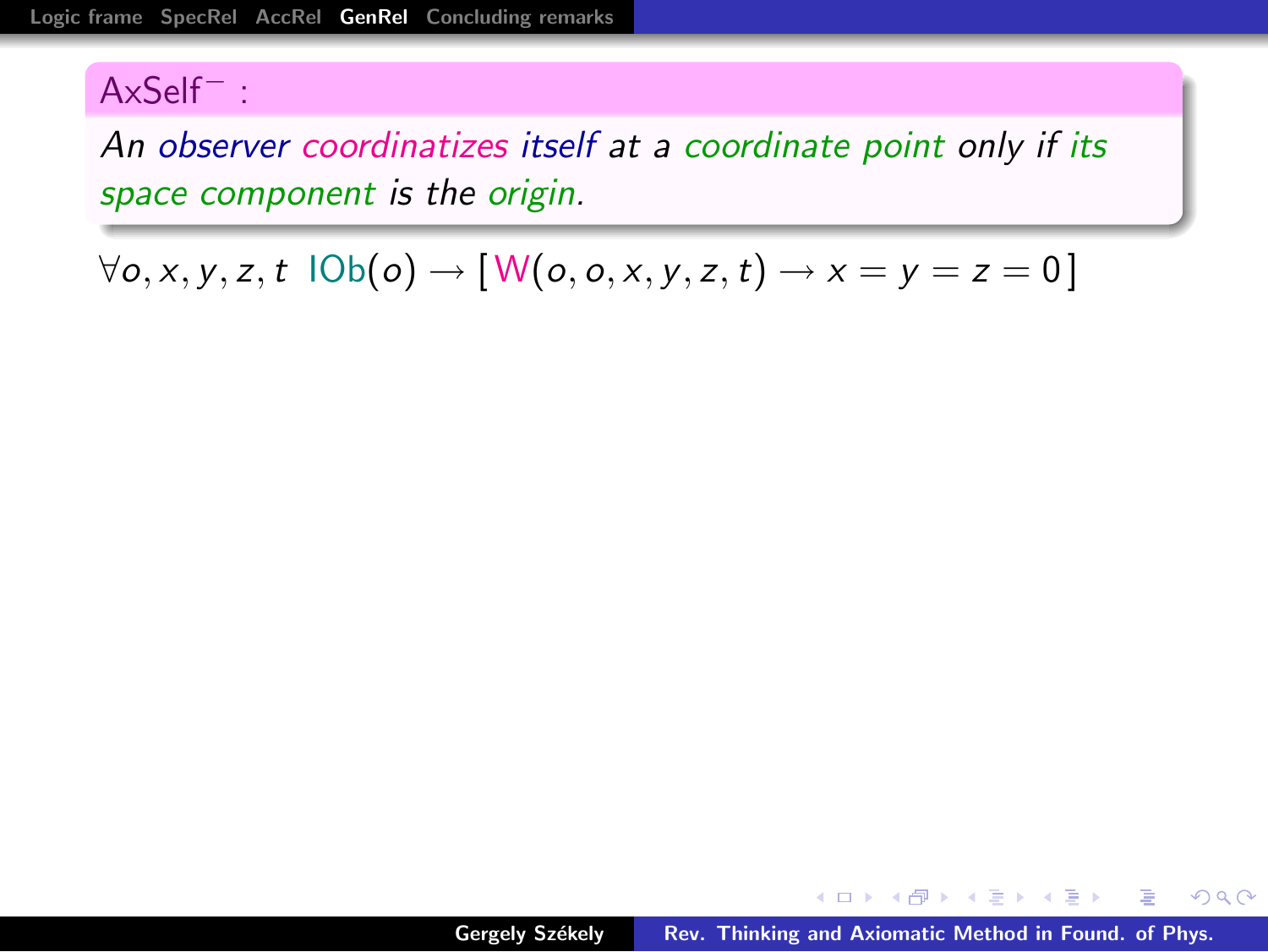An observer coordinatizes itself at a coordinate point only if its space component is the origin.

 $\forall$ o, x, y, z, t  $\text{IOb}(o) \rightarrow \text{[} \mathsf{W}(o, o, x, y, z, t) \rightarrow x = y = z = 0 \text{]}$ 

<span id="page-31-0"></span>メタメメ ミメメ ミメ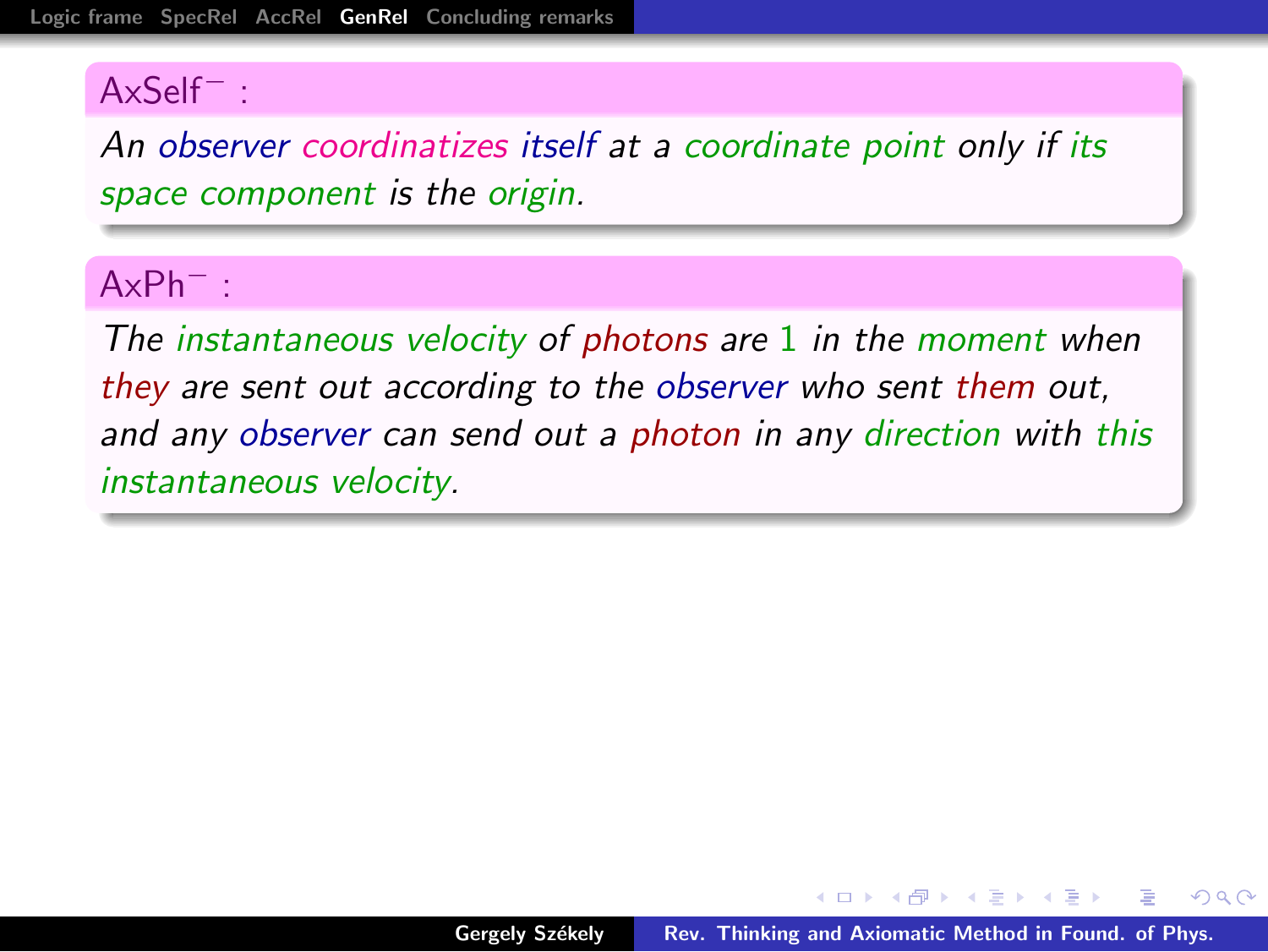An observer coordinatizes itself at a coordinate point only if its space component is the origin.

#### AxPh<sup>−</sup> :

The instantaneous velocity of photons are 1 in the moment when they are sent out according to the observer who sent them out, and any observer can send out a photon in any direction with this instantaneous velocity.

 $\mathcal{A}$  and  $\mathcal{A}$  . In the set of  $\mathbb{R}$  is a set of  $\mathbb{R}$  is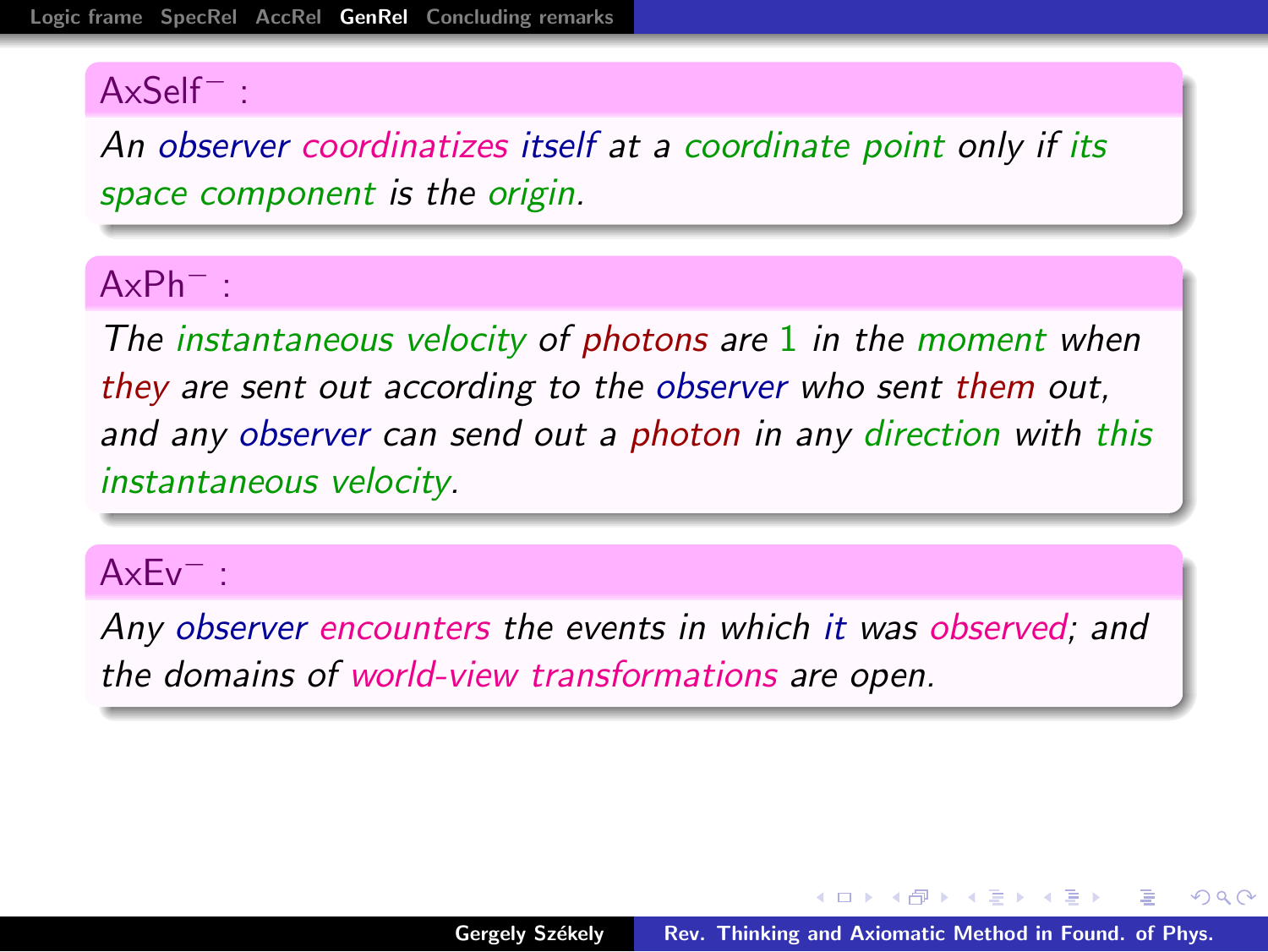An observer coordinatizes itself at a coordinate point only if its space component is the origin.

#### AxPh<sup>−</sup> :

The instantaneous velocity of photons are 1 in the moment when they are sent out according to the observer who sent them out, and any observer can send out a photon in any direction with this instantaneous velocity.

#### AxEv<sup>−</sup> :

Any observer encounters the events in which it was observed; and the domains of world-view transformations are open.

 $A \cap B$  and  $A \cap B$  and  $B \cap A \cap B$  and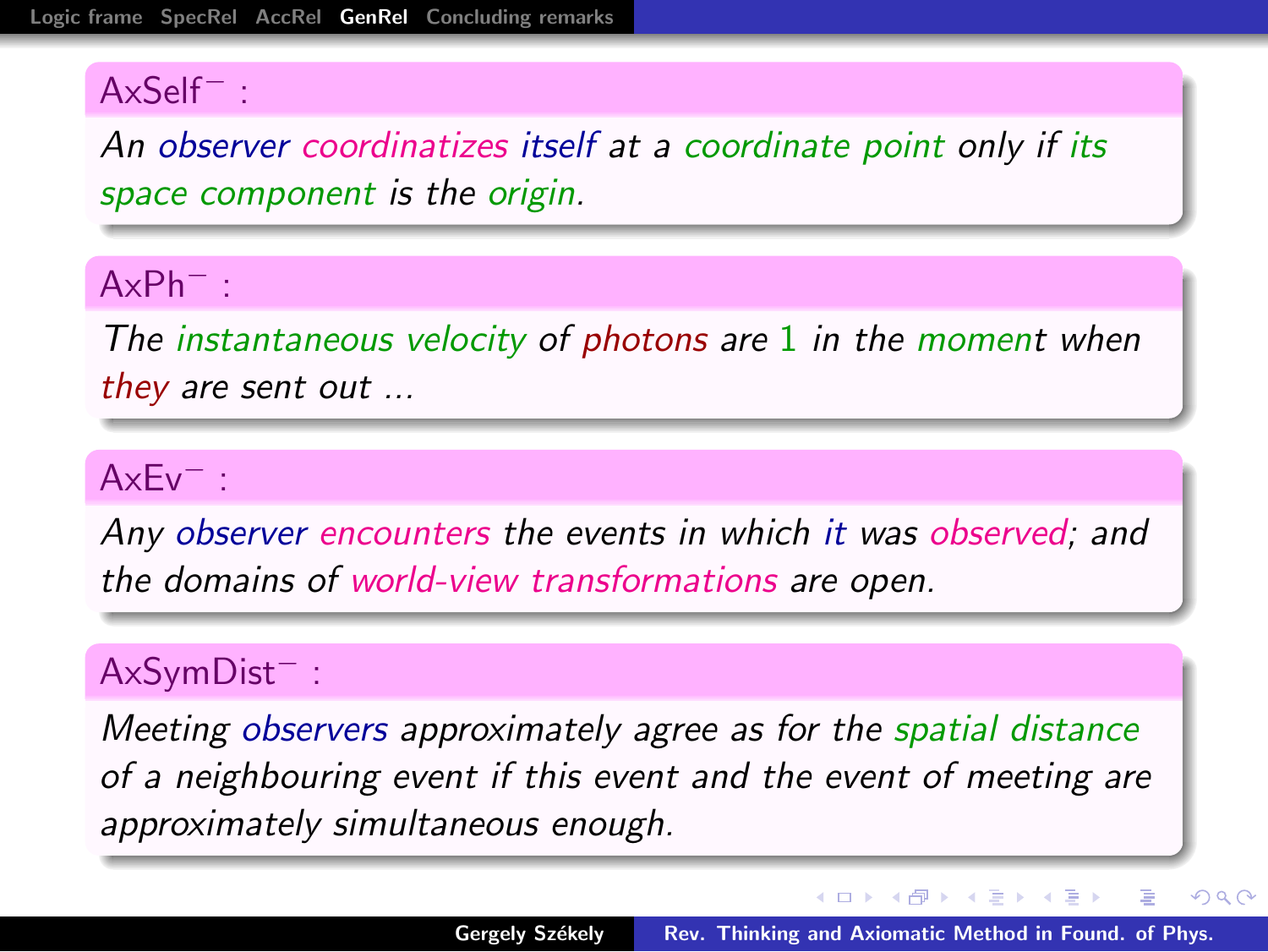An observer coordinatizes itself at a coordinate point only if its space component is the origin.

#### AxPh<sup>−</sup> :

The instantaneous velocity of photons are 1 in the moment when they are sent out ...

#### AxEv<sup>−</sup> :

Any observer encounters the events in which it was observed; and the domains of world-view transformations are open.

### AxSymDist<sup>−</sup> :

Meeting observers approximately agree as for the spatial distance of a neighbouring event if this event and the event of meeting are approximately simultaneous enough.

イロト イ押ト イヨト イヨト

 $\equiv$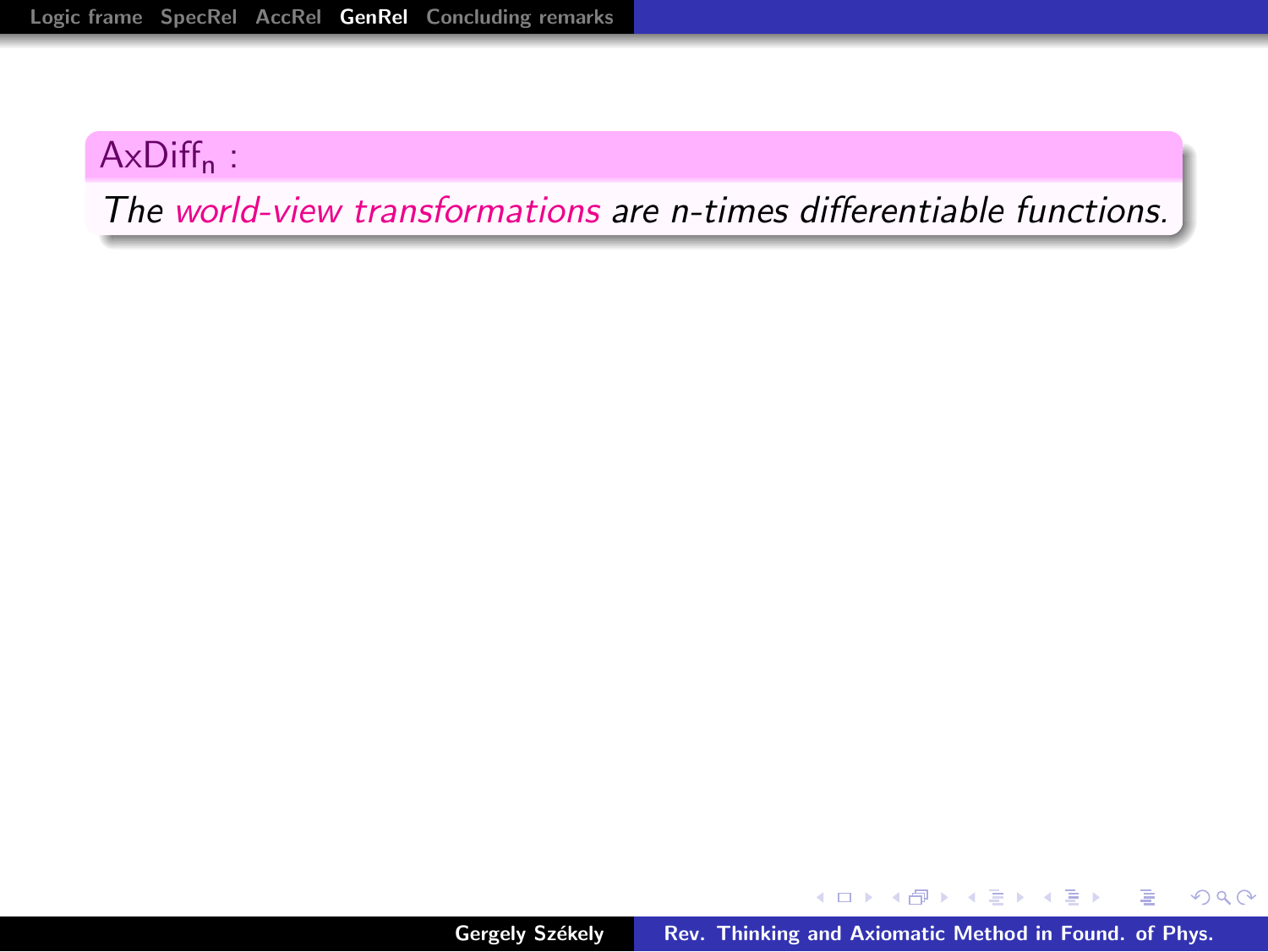### $AxDiff<sub>n</sub>$ :

The world-view transformations are n-times differentiable functions.

K ロ ⊁ K 倒 ≯ K ミ ⊁ K ミ ≯

重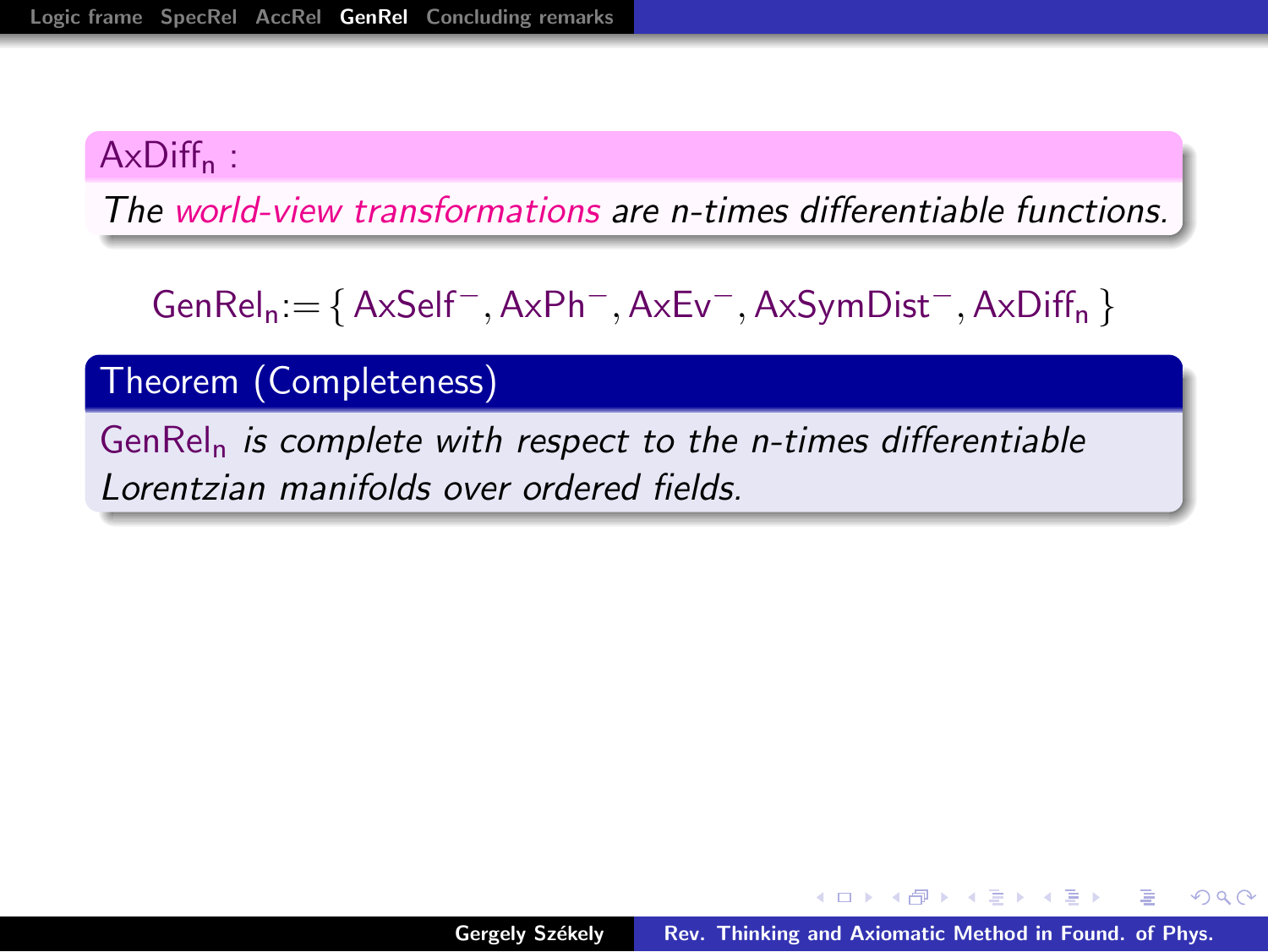#### AxDiff<sub>n</sub>:

The world-view transformations are n-times differentiable functions.

GenReln:= {AxSelf−,AxPh−,AxEv−,AxSymDist−,AxDiff<sup>n</sup> }

Theorem (Completeness)

 $GenRel<sub>n</sub>$  is complete with respect to the n-times differentiable Lorentzian manifolds over ordered fields.

マーティ ミュラー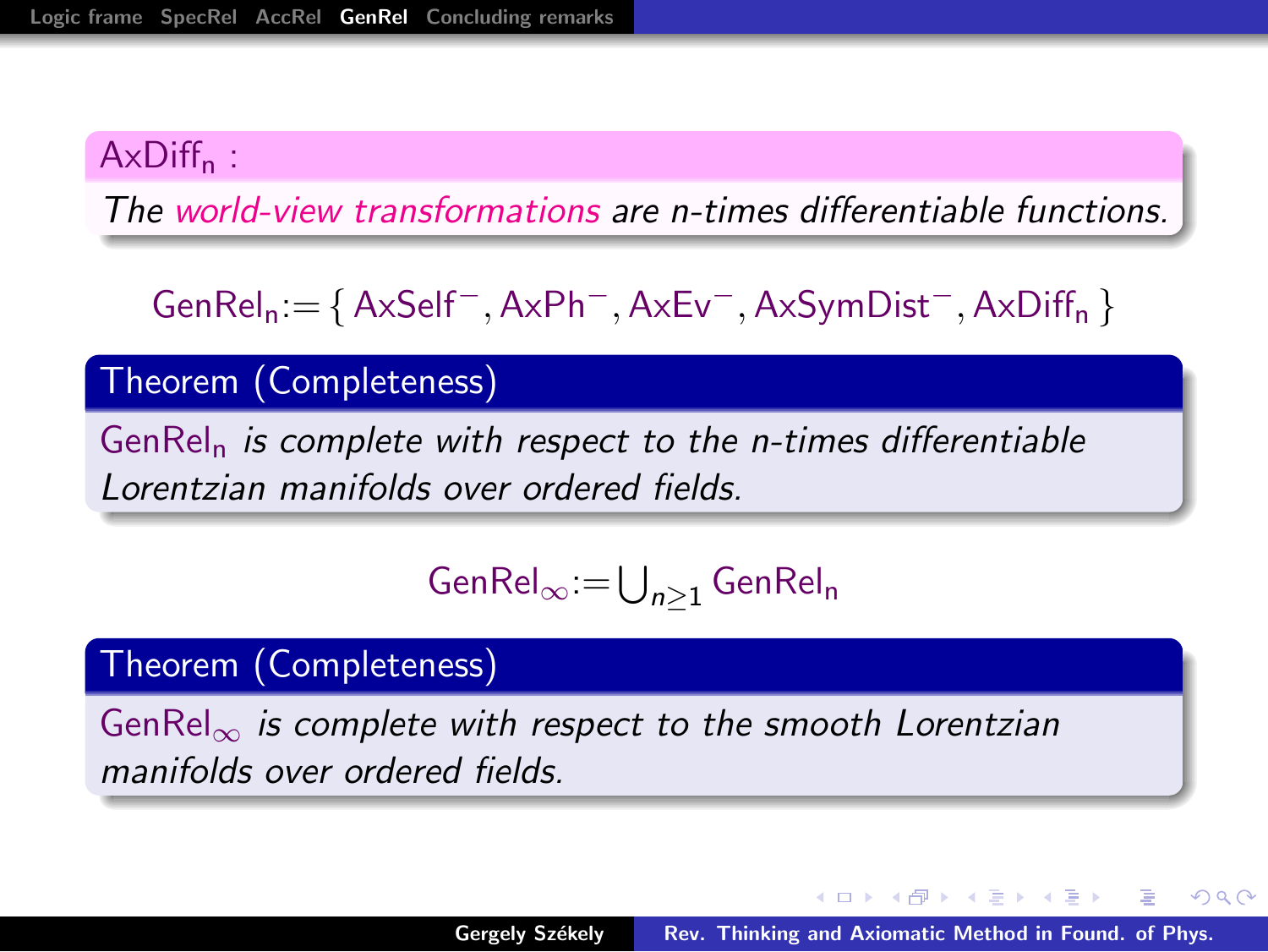#### AxDiff<sub>n</sub>:

The world-view transformations are n-times differentiable functions.

GenReln:= {AxSelf−,AxPh−,AxEv−,AxSymDist−,AxDiff<sup>n</sup> }

Theorem (Completeness)

 $GenRel<sub>n</sub>$  is complete with respect to the n-times differentiable Lorentzian manifolds over ordered fields.

$$
\mathsf{GenRel}_\infty\!:=\!\bigcup_{n\geq 1}\mathsf{GenRel}_\mathsf{n}
$$

#### Theorem (Completeness)

GenRel<sub>∞</sub> is complete with respect to the smooth Lorentzian manifolds over ordered fields.

イロメ イ御 メイモメ イモメ

へのへ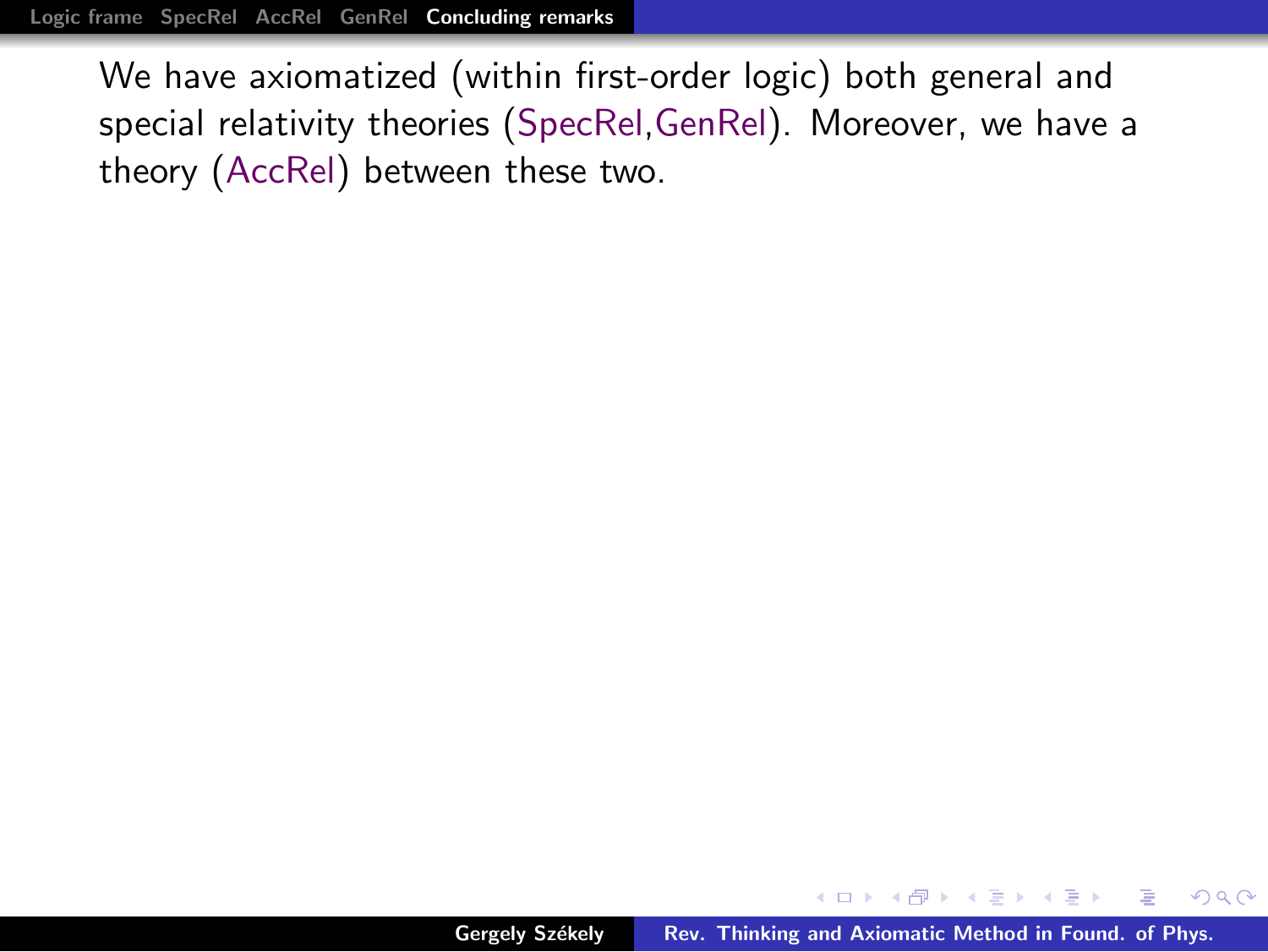[Logic frame](#page-1-0) [SpecRel](#page-6-0) [AccRel](#page-13-0) [GenRel](#page-31-0) [Concluding remarks](#page-38-0)

We have axiomatized (within first-order logic) both general and special relativity theories (SpecRel,GenRel). Moreover, we have a theory (AccRel) between these two.

<span id="page-38-0"></span> $\left\{ \bigoplus_{i=1}^{n} x_i \right\} \times \left\{ \bigoplus_{i=1}^{n} x_i \right\} \times \left\{ \bigoplus_{i=1}^{n} x_i \right\}$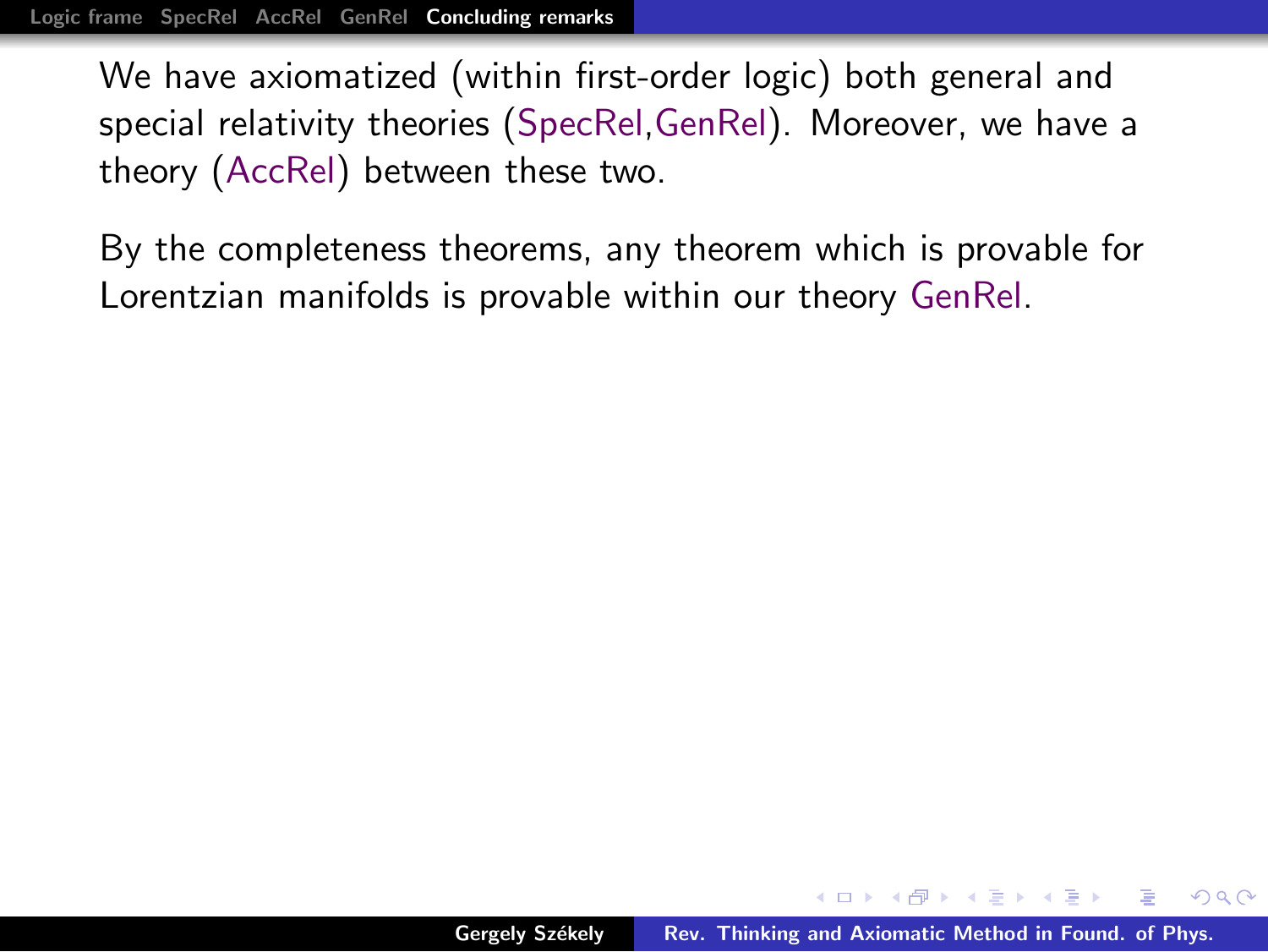[Logic frame](#page-1-0) [SpecRel](#page-6-0) [AccRel](#page-13-0) [GenRel](#page-31-0) [Concluding remarks](#page-38-0)

We have axiomatized (within first-order logic) both general and special relativity theories (SpecRel,GenRel). Moreover, we have a theory (AccRel) between these two.

By the completeness theorems, any theorem which is provable for Lorentzian manifolds is provable within our theory GenRel.

 $4.50 \times 4.70 \times 4.70 \times$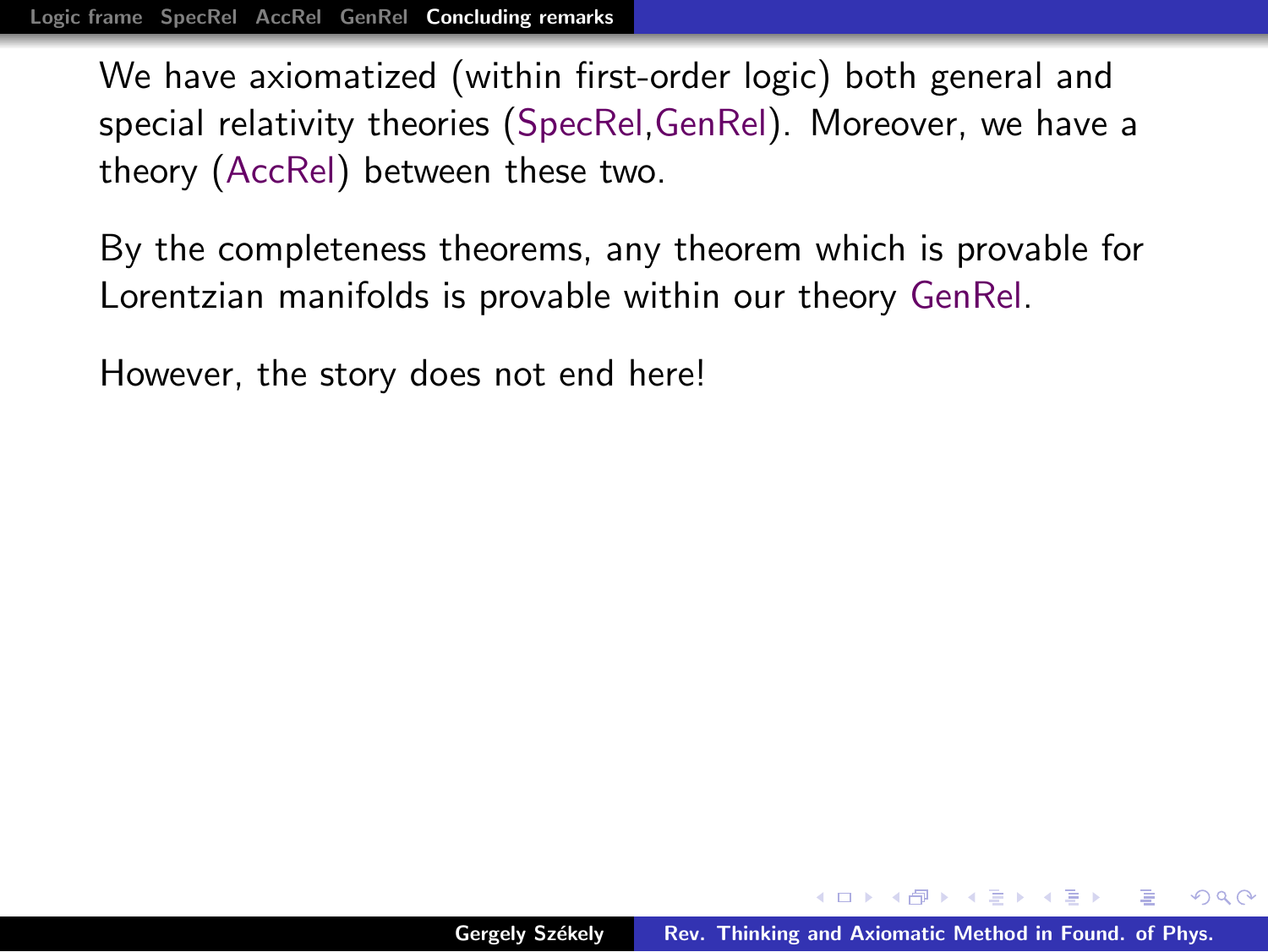By the completeness theorems, any theorem which is provable for Lorentzian manifolds is provable within our theory GenRel.

However, the story does not end here!

 $\left\{ \bigoplus_{i=1}^{n} x_i \right\} \times \left\{ \bigoplus_{i=1}^{n} x_i \right\} \times \left\{ \bigoplus_{i=1}^{n} x_i \right\}$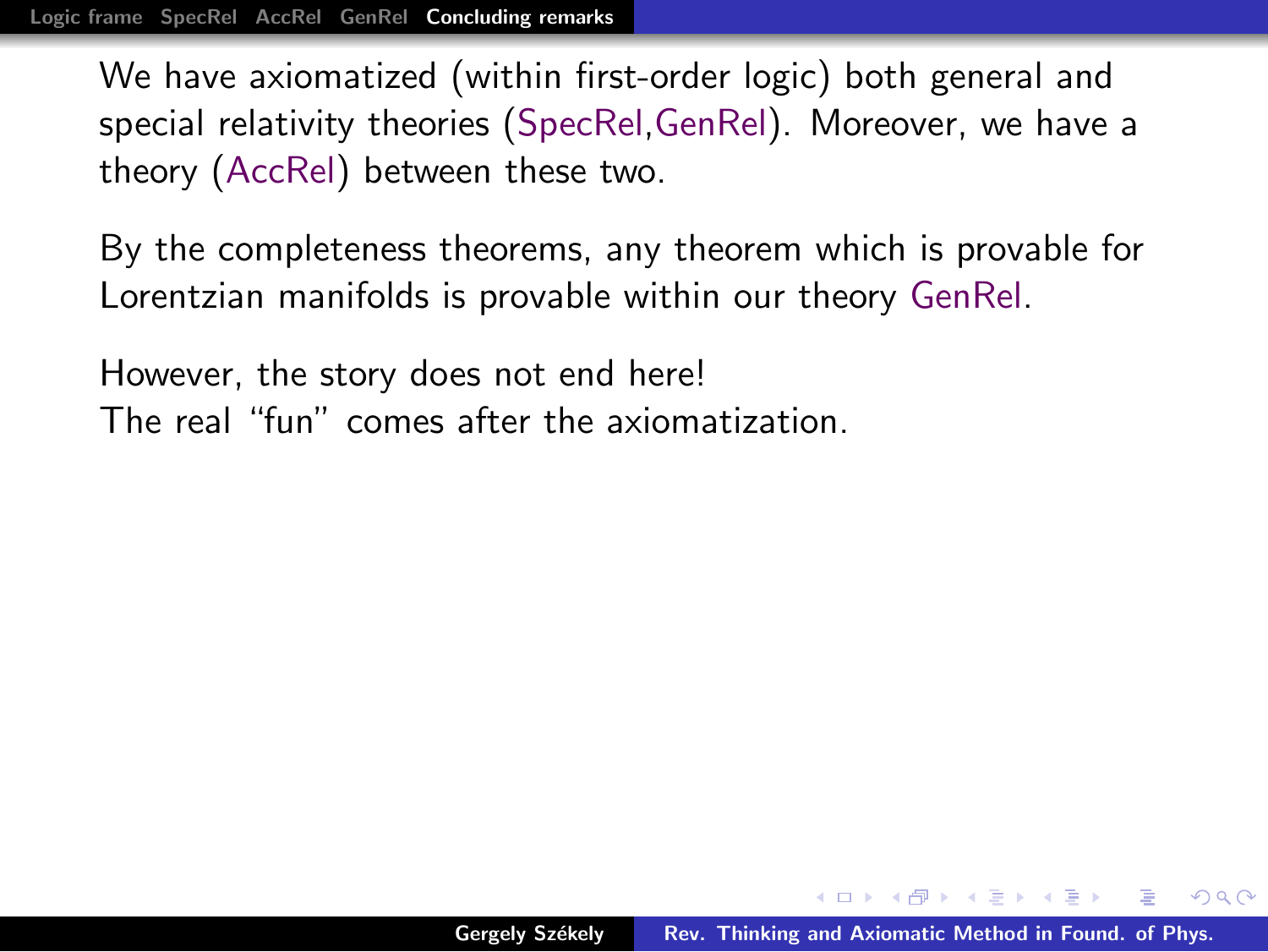By the completeness theorems, any theorem which is provable for Lorentzian manifolds is provable within our theory GenRel.

However, the story does not end here! The real "fun" comes after the axiomatization.

 $4.50 \times 4.70 \times 4.70 \times$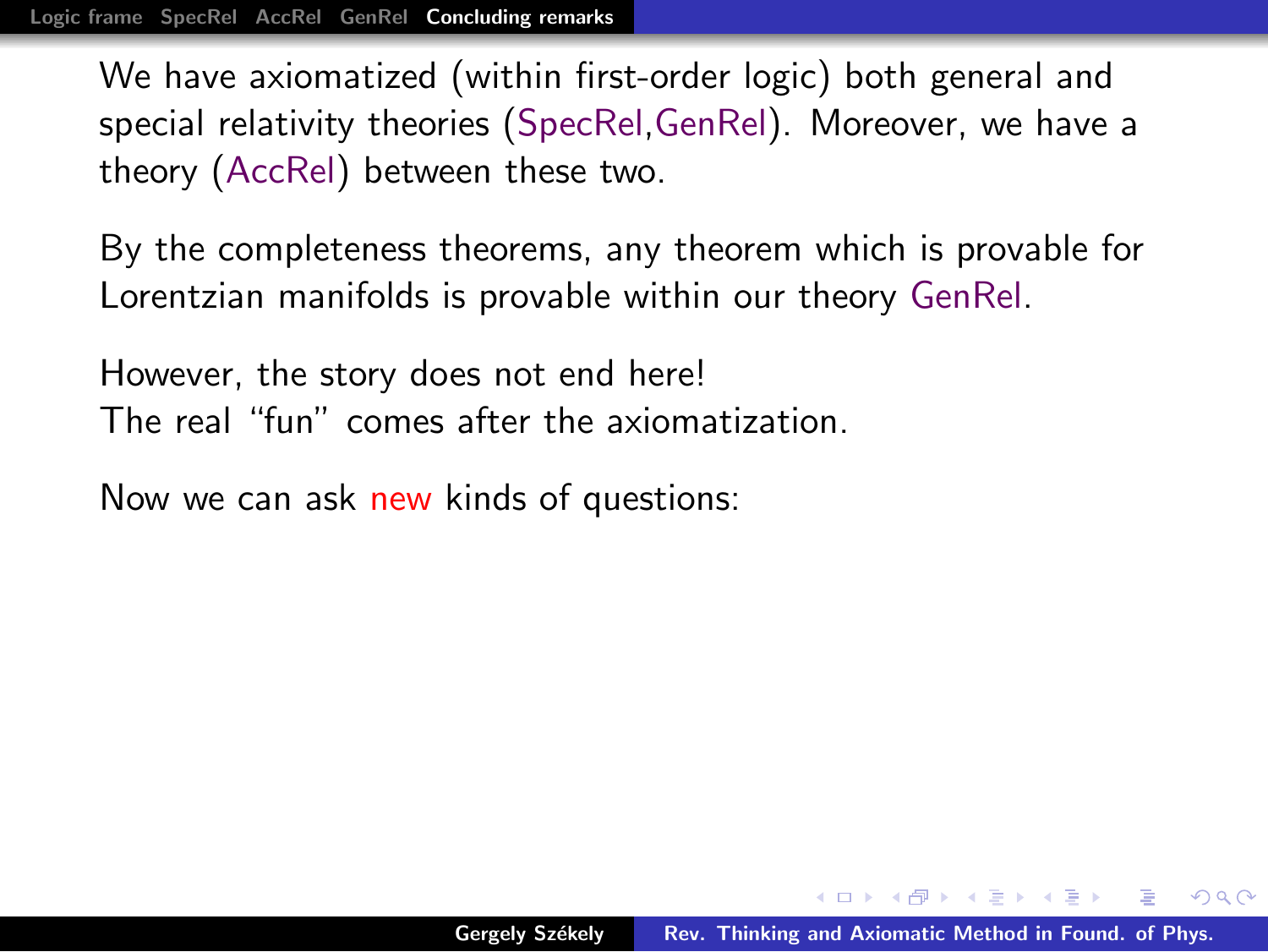By the completeness theorems, any theorem which is provable for Lorentzian manifolds is provable within our theory GenRel.

However, the story does not end here! The real "fun" comes after the axiomatization.

Now we can ask new kinds of questions:

 $\left\{ \bigoplus_{i=1}^{n} x_i \right\} \times \left\{ \bigoplus_{i=1}^{n} x_i \right\} \times \left\{ \bigoplus_{i=1}^{n} x_i \right\}$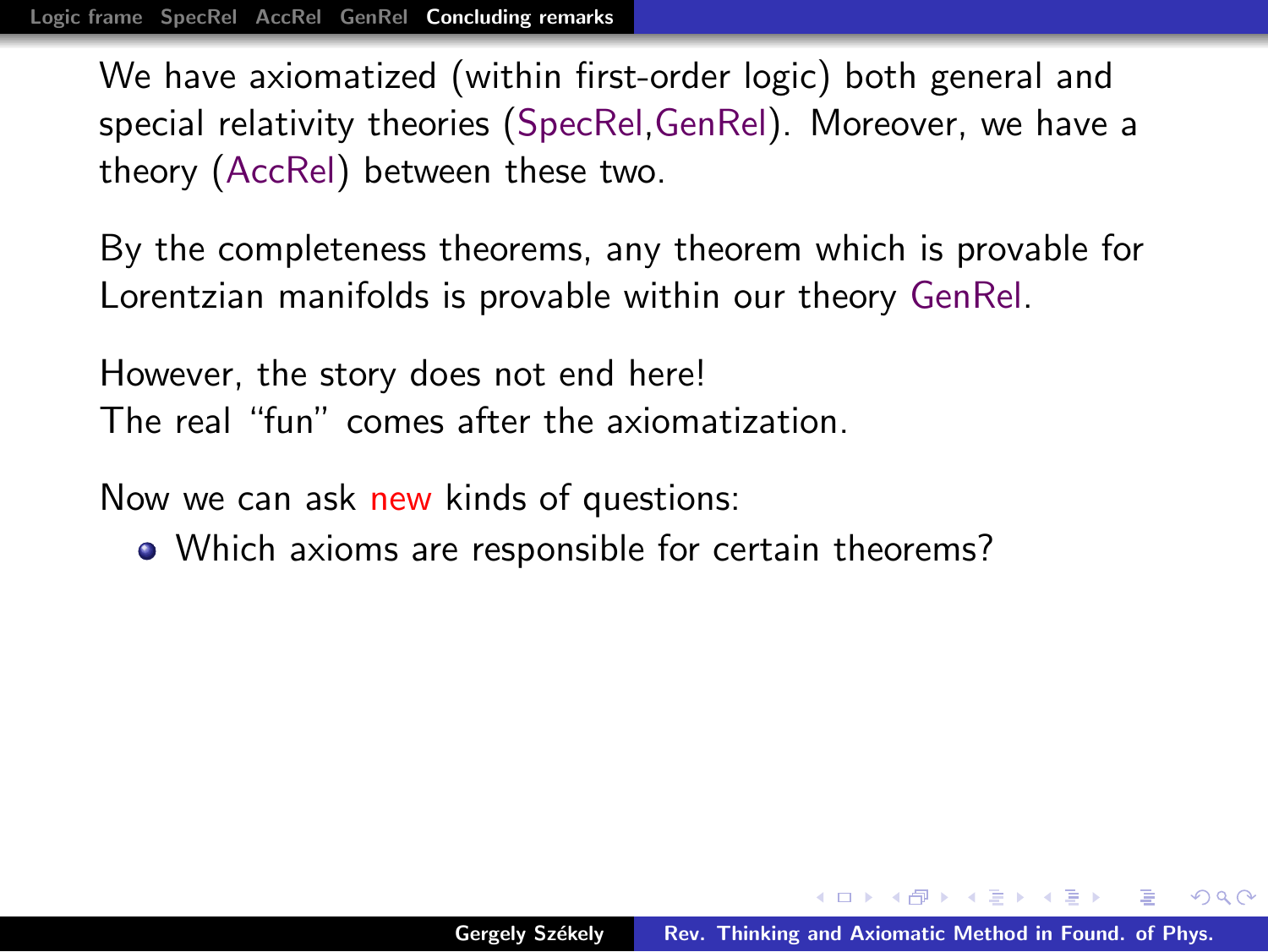By the completeness theorems, any theorem which is provable for Lorentzian manifolds is provable within our theory GenRel.

However, the story does not end here! The real "fun" comes after the axiomatization.

Now we can ask new kinds of questions:

• Which axioms are responsible for certain theorems?

 $4.50 \times 4.70 \times 4.70 \times$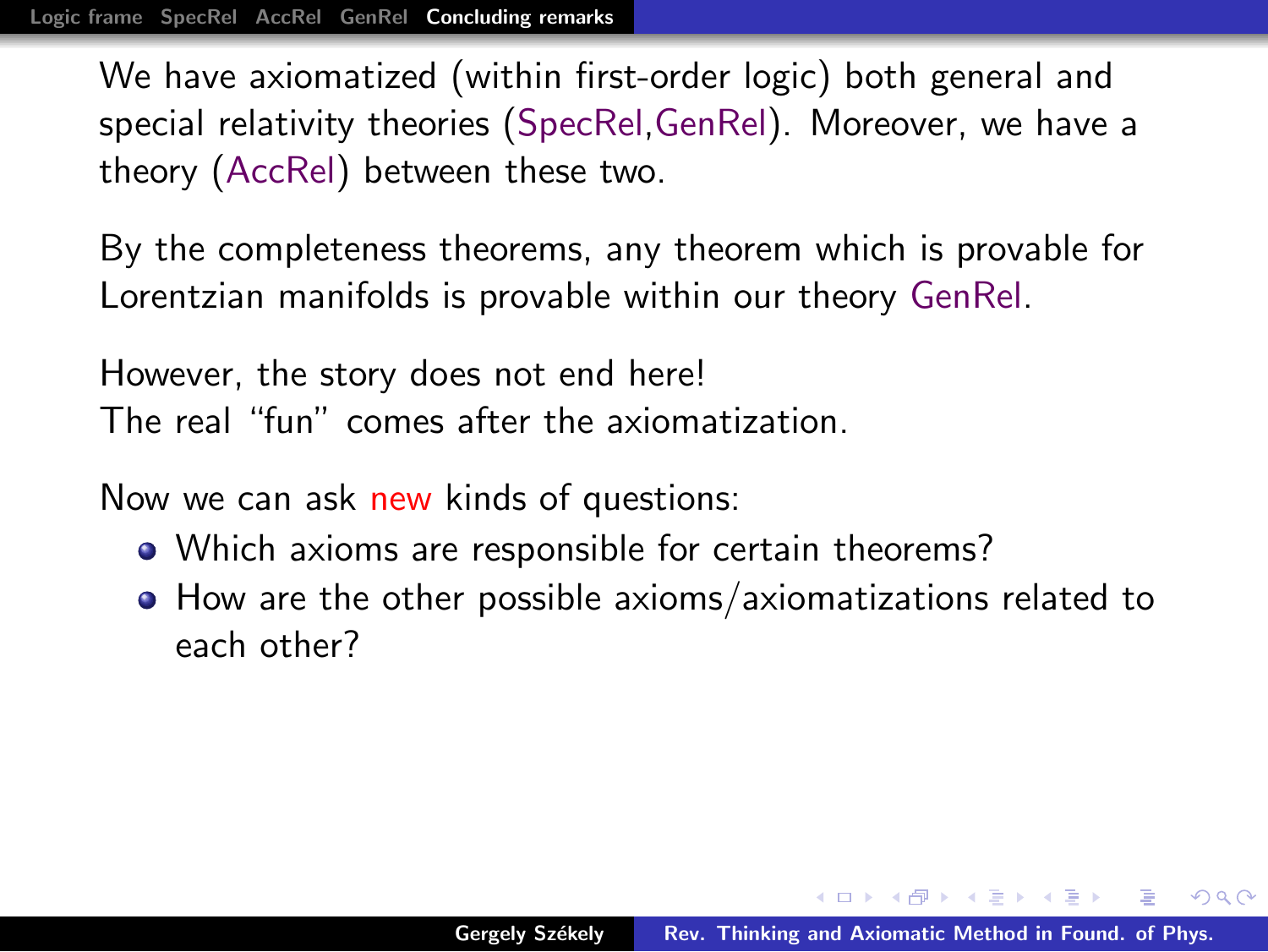By the completeness theorems, any theorem which is provable for Lorentzian manifolds is provable within our theory GenRel.

However, the story does not end here! The real "fun" comes after the axiomatization.

Now we can ask new kinds of questions:

- Which axioms are responsible for certain theorems?
- How are the other possible axioms/axiomatizations related to each other?

マ海 トマ ヨ トマ ヨ トー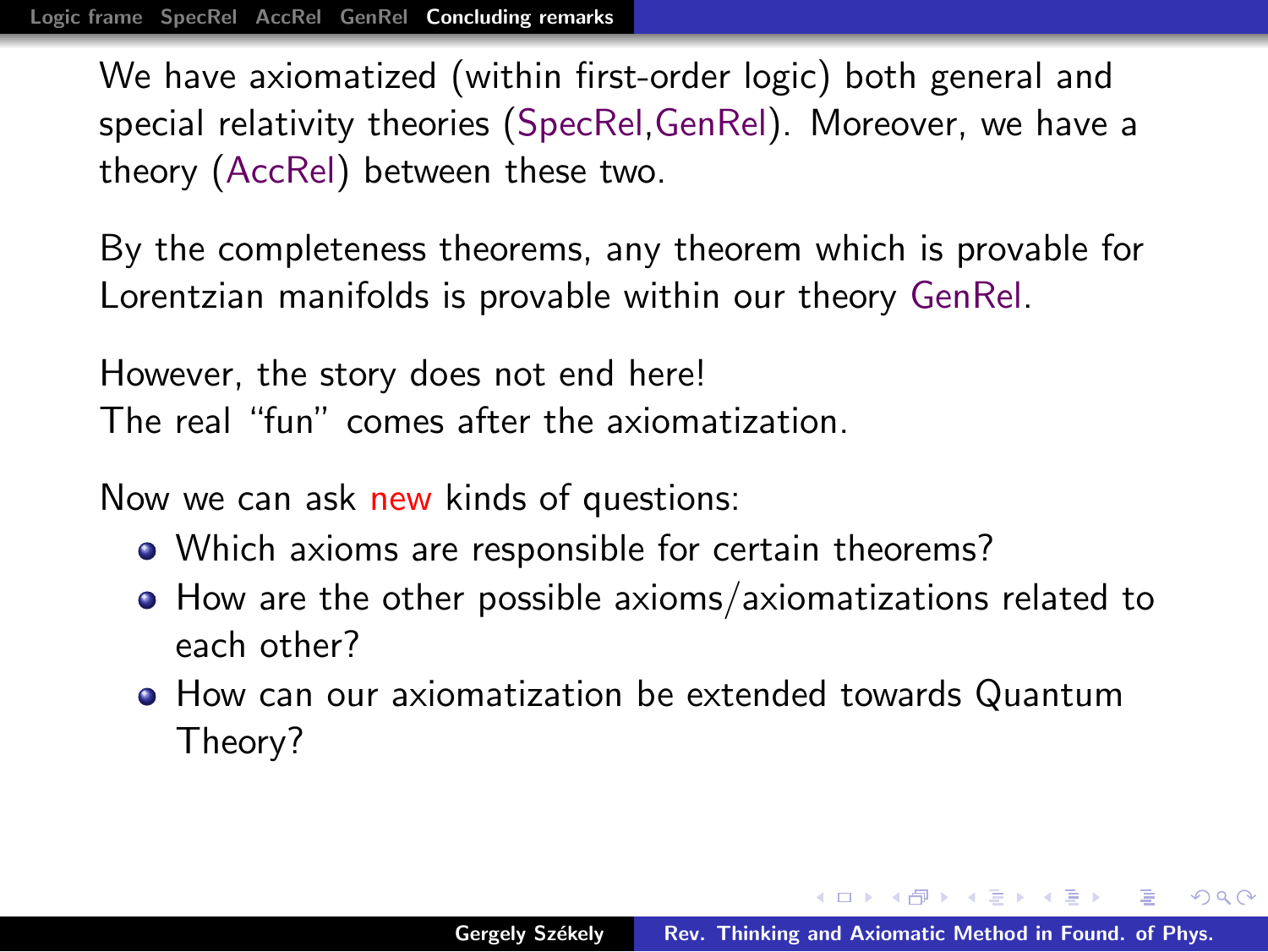By the completeness theorems, any theorem which is provable for Lorentzian manifolds is provable within our theory GenRel.

However, the story does not end here! The real "fun" comes after the axiomatization.

Now we can ask new kinds of questions:

- Which axioms are responsible for certain theorems?
- How are the other possible axioms/axiomatizations related to each other?
- How can our axiomatization be extended towards Quantum Theory?

 $\mathcal{A} \oplus \mathcal{B} \rightarrow \mathcal{A} \oplus \mathcal{B} \rightarrow \mathcal{A} \oplus \mathcal{B}$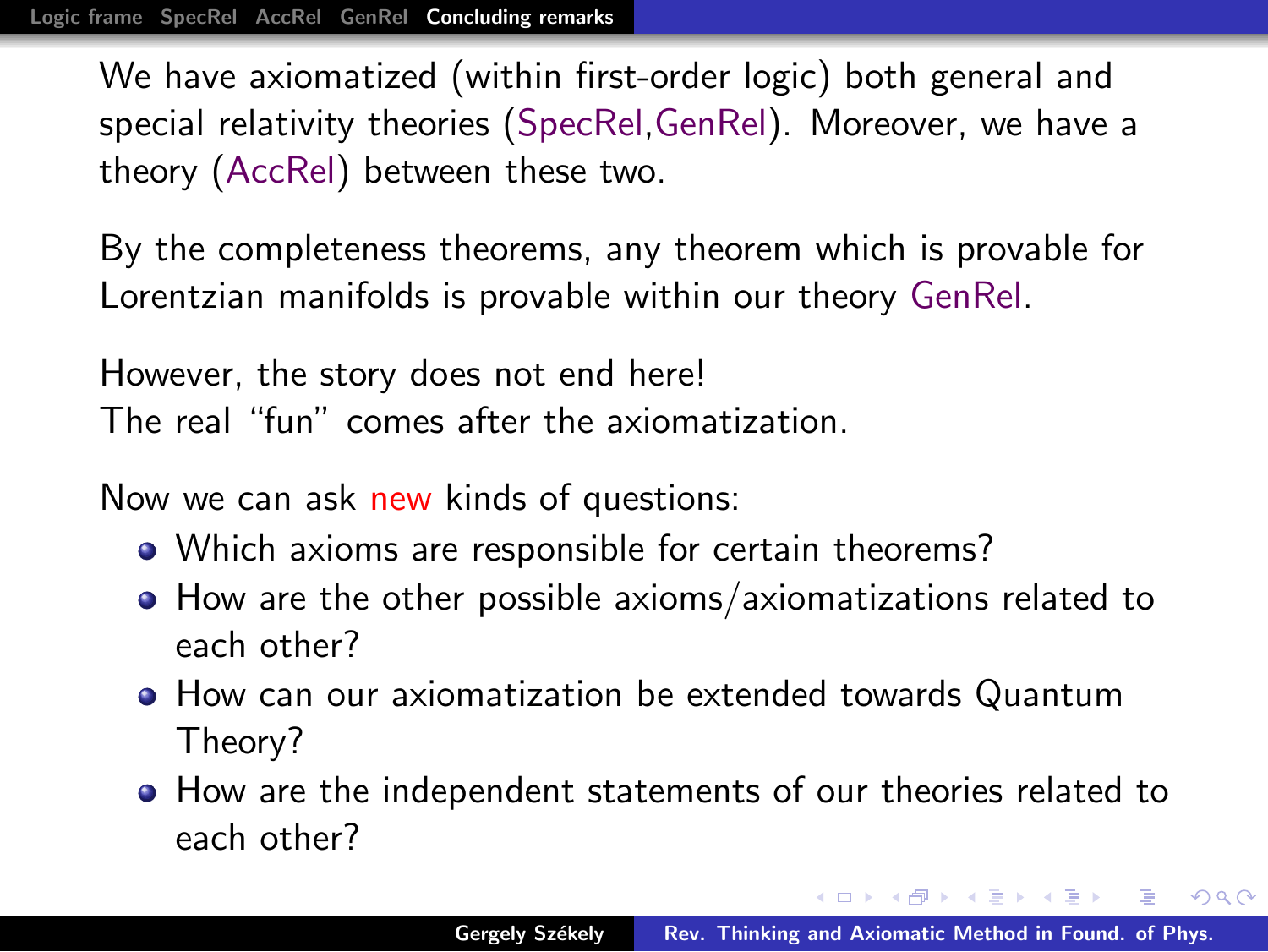By the completeness theorems, any theorem which is provable for Lorentzian manifolds is provable within our theory GenRel.

However, the story does not end here! The real "fun" comes after the axiomatization.

Now we can ask new kinds of questions:

- Which axioms are responsible for certain theorems?
- How are the other possible axioms/axiomatizations related to each other?
- How can our axiomatization be extended towards Quantum Theory?
- How are the independent statements of our theories related to each other?

メタト メミト メミト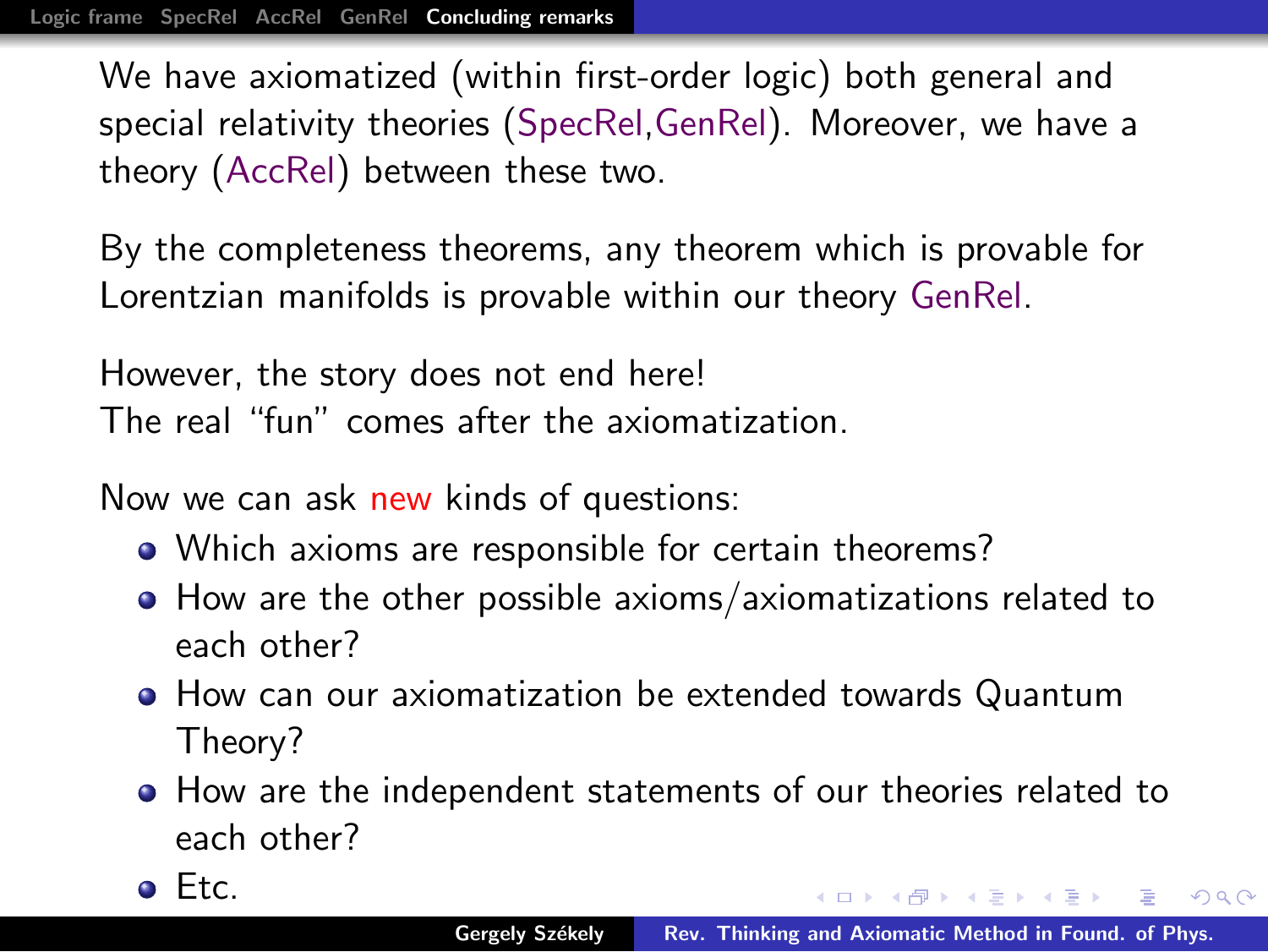By the completeness theorems, any theorem which is provable for Lorentzian manifolds is provable within our theory GenRel.

However, the story does not end here! The real "fun" comes after the axiomatization.

Now we can ask new kinds of questions:

- Which axioms are responsible for certain theorems?
- How are the other possible axioms/axiomatizations related to each other?
- How can our axiomatization be extended towards Quantum Theory?
- How are the independent statements of our theories related to each other?

Etc.

メタトメミメメミメ